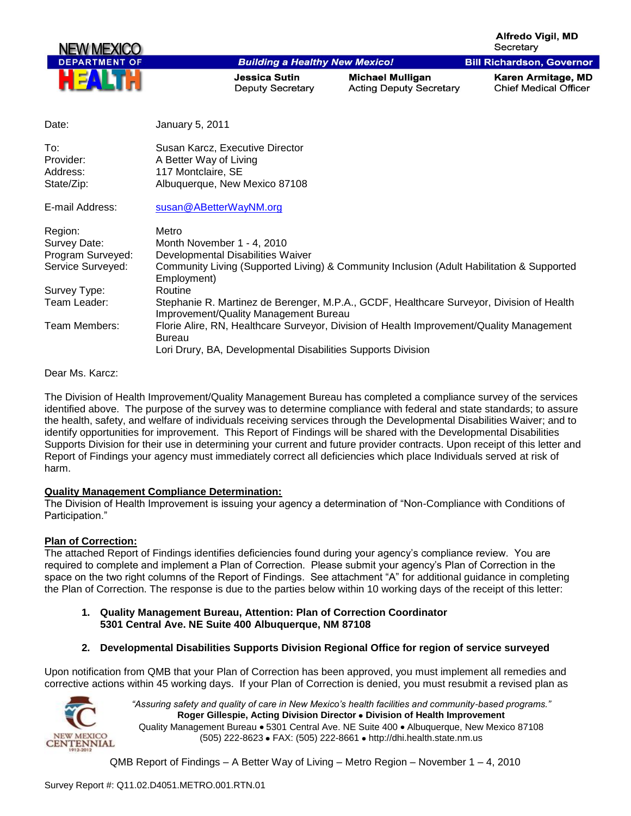**Alfredo Viail, MD** Secretary

**Bill Richardson, Governor** 



### **Building a Healthy New Mexico!**

**Jessica Sutin Deputy Secretary**  **Michael Mulligan Acting Deputy Secretary**  Karen Armitage, MD **Chief Medical Officer** 

| Date:                                      | January 5, 2011                                                                                                                   |
|--------------------------------------------|-----------------------------------------------------------------------------------------------------------------------------------|
| To:<br>Provider:<br>Address:<br>State/Zip: | Susan Karcz, Executive Director<br>A Better Way of Living<br>117 Montclaire, SE<br>Albuquerque, New Mexico 87108                  |
| E-mail Address:                            | susan@ABetterWayNM.org                                                                                                            |
| Region:                                    | Metro                                                                                                                             |
| Survey Date:                               | Month November 1 - 4, 2010                                                                                                        |
| Program Surveyed:                          | Developmental Disabilities Waiver                                                                                                 |
| Service Surveyed:                          | Community Living (Supported Living) & Community Inclusion (Adult Habilitation & Supported<br>Employment)                          |
| Survey Type:                               | Routine                                                                                                                           |
| Team Leader:                               | Stephanie R. Martinez de Berenger, M.P.A., GCDF, Healthcare Surveyor, Division of Health<br>Improvement/Quality Management Bureau |
| Team Members:                              | Florie Alire, RN, Healthcare Surveyor, Division of Health Improvement/Quality Management<br><b>Bureau</b>                         |
|                                            | Lori Drury, BA, Developmental Disabilities Supports Division                                                                      |

Dear Ms. Karcz:

The Division of Health Improvement/Quality Management Bureau has completed a compliance survey of the services identified above. The purpose of the survey was to determine compliance with federal and state standards; to assure the health, safety, and welfare of individuals receiving services through the Developmental Disabilities Waiver; and to identify opportunities for improvement. This Report of Findings will be shared with the Developmental Disabilities Supports Division for their use in determining your current and future provider contracts. Upon receipt of this letter and Report of Findings your agency must immediately correct all deficiencies which place Individuals served at risk of harm.

### **Quality Management Compliance Determination:**

The Division of Health Improvement is issuing your agency a determination of "Non-Compliance with Conditions of Participation."

### **Plan of Correction:**

The attached Report of Findings identifies deficiencies found during your agency"s compliance review. You are required to complete and implement a Plan of Correction. Please submit your agency"s Plan of Correction in the space on the two right columns of the Report of Findings. See attachment "A" for additional guidance in completing the Plan of Correction. The response is due to the parties below within 10 working days of the receipt of this letter:

- **1. Quality Management Bureau, Attention: Plan of Correction Coordinator 5301 Central Ave. NE Suite 400 Albuquerque, NM 87108**
- **2. Developmental Disabilities Supports Division Regional Office for region of service surveyed**

Upon notification from QMB that your Plan of Correction has been approved, you must implement all remedies and corrective actions within 45 working days. If your Plan of Correction is denied, you must resubmit a revised plan as



*"Assuring safety and quality of care in New Mexico's health facilities and community-based programs."* **Roger Gillespie, Acting Division Director Division of Health Improvement**  Quality Management Bureau • 5301 Central Ave. NE Suite 400 • Albuquerque, New Mexico 87108 (505) 222-8623 • FAX: (505) 222-8661 • http://dhi.health.state.nm.us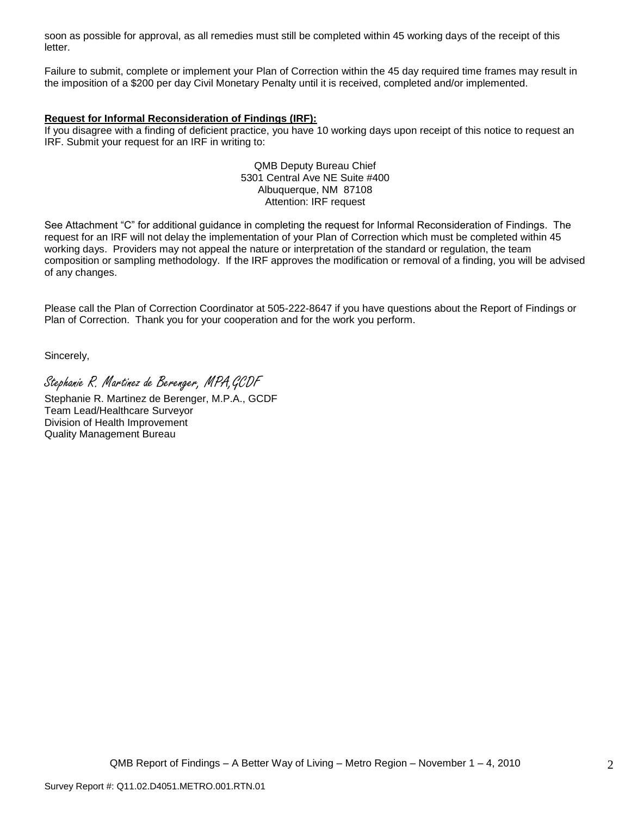soon as possible for approval, as all remedies must still be completed within 45 working days of the receipt of this letter.

Failure to submit, complete or implement your Plan of Correction within the 45 day required time frames may result in the imposition of a \$200 per day Civil Monetary Penalty until it is received, completed and/or implemented.

### **Request for Informal Reconsideration of Findings (IRF):**

If you disagree with a finding of deficient practice, you have 10 working days upon receipt of this notice to request an IRF. Submit your request for an IRF in writing to:

> QMB Deputy Bureau Chief 5301 Central Ave NE Suite #400 Albuquerque, NM 87108 Attention: IRF request

See Attachment "C" for additional guidance in completing the request for Informal Reconsideration of Findings. The request for an IRF will not delay the implementation of your Plan of Correction which must be completed within 45 working days. Providers may not appeal the nature or interpretation of the standard or regulation, the team composition or sampling methodology. If the IRF approves the modification or removal of a finding, you will be advised of any changes.

Please call the Plan of Correction Coordinator at 505-222-8647 if you have questions about the Report of Findings or Plan of Correction. Thank you for your cooperation and for the work you perform.

Sincerely,

Stephanie R. Martinez de Berenger, MPA,GCDF

Stephanie R. Martinez de Berenger, M.P.A., GCDF Team Lead/Healthcare Surveyor Division of Health Improvement Quality Management Bureau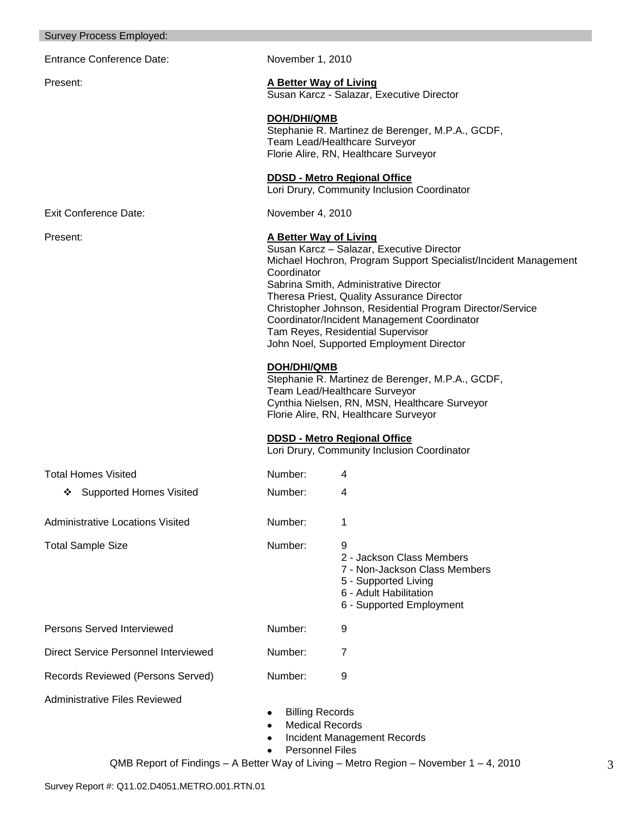| Entrance Conference Date:                   | November 1, 2010                                                    |                                                                                                                                                                                                                                                                                                                                                                                                                                                                                                                                                                                                                                                                        |  |
|---------------------------------------------|---------------------------------------------------------------------|------------------------------------------------------------------------------------------------------------------------------------------------------------------------------------------------------------------------------------------------------------------------------------------------------------------------------------------------------------------------------------------------------------------------------------------------------------------------------------------------------------------------------------------------------------------------------------------------------------------------------------------------------------------------|--|
| Present:                                    | A Better Way of Living<br>Susan Karcz - Salazar, Executive Director |                                                                                                                                                                                                                                                                                                                                                                                                                                                                                                                                                                                                                                                                        |  |
|                                             | <b>DOH/DHI/QMB</b>                                                  | Stephanie R. Martinez de Berenger, M.P.A., GCDF,<br>Team Lead/Healthcare Surveyor<br>Florie Alire, RN, Healthcare Surveyor<br><b>DDSD - Metro Regional Office</b>                                                                                                                                                                                                                                                                                                                                                                                                                                                                                                      |  |
|                                             |                                                                     | Lori Drury, Community Inclusion Coordinator                                                                                                                                                                                                                                                                                                                                                                                                                                                                                                                                                                                                                            |  |
| <b>Exit Conference Date:</b>                | November 4, 2010                                                    |                                                                                                                                                                                                                                                                                                                                                                                                                                                                                                                                                                                                                                                                        |  |
| Present:                                    | A Better Way of Living<br>Coordinator<br><b>DOH/DHI/QMB</b>         | Susan Karcz - Salazar, Executive Director<br>Michael Hochron, Program Support Specialist/Incident Management<br>Sabrina Smith, Administrative Director<br>Theresa Priest, Quality Assurance Director<br>Christopher Johnson, Residential Program Director/Service<br>Coordinator/Incident Management Coordinator<br>Tam Reyes, Residential Supervisor<br>John Noel, Supported Employment Director<br>Stephanie R. Martinez de Berenger, M.P.A., GCDF,<br>Team Lead/Healthcare Surveyor<br>Cynthia Nielsen, RN, MSN, Healthcare Surveyor<br>Florie Alire, RN, Healthcare Surveyor<br><b>DDSD - Metro Regional Office</b><br>Lori Drury, Community Inclusion Coordinator |  |
| <b>Total Homes Visited</b>                  | Number:                                                             | 4                                                                                                                                                                                                                                                                                                                                                                                                                                                                                                                                                                                                                                                                      |  |
| ❖ Supported Homes Visited                   | Number:                                                             | 4                                                                                                                                                                                                                                                                                                                                                                                                                                                                                                                                                                                                                                                                      |  |
| <b>Administrative Locations Visited</b>     | Number:                                                             | 1                                                                                                                                                                                                                                                                                                                                                                                                                                                                                                                                                                                                                                                                      |  |
| <b>Total Sample Size</b>                    | Number:                                                             | 9<br>2 - Jackson Class Members<br>7 - Non-Jackson Class Members<br>5 - Supported Living<br>6 - Adult Habilitation<br>6 - Supported Employment                                                                                                                                                                                                                                                                                                                                                                                                                                                                                                                          |  |
| Persons Served Interviewed                  | Number:                                                             | 9                                                                                                                                                                                                                                                                                                                                                                                                                                                                                                                                                                                                                                                                      |  |
| <b>Direct Service Personnel Interviewed</b> | Number:                                                             | 7                                                                                                                                                                                                                                                                                                                                                                                                                                                                                                                                                                                                                                                                      |  |
| Records Reviewed (Persons Served)           | Number:                                                             | 9                                                                                                                                                                                                                                                                                                                                                                                                                                                                                                                                                                                                                                                                      |  |
| <b>Administrative Files Reviewed</b>        | <b>Billing Records</b><br><b>Personnel Files</b>                    | <b>Medical Records</b><br><b>Incident Management Records</b>                                                                                                                                                                                                                                                                                                                                                                                                                                                                                                                                                                                                           |  |

Survey Process Employed: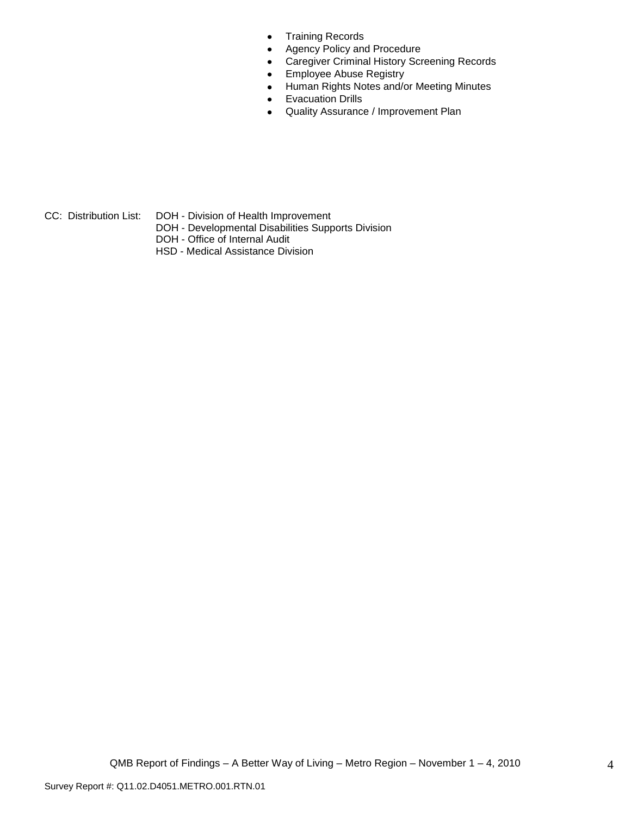- Training Records  $\bullet$
- Agency Policy and Procedure  $\bullet$
- Caregiver Criminal History Screening Records  $\bullet$
- Employee Abuse Registry  $\bullet$
- Human Rights Notes and/or Meeting Minutes  $\bullet$
- Evacuation Drills  $\bullet$
- Quality Assurance / Improvement Plan  $\bullet$

- CC: Distribution List: DOH Division of Health Improvement
	- DOH Developmental Disabilities Supports Division
	- DOH Office of Internal Audit
	- HSD Medical Assistance Division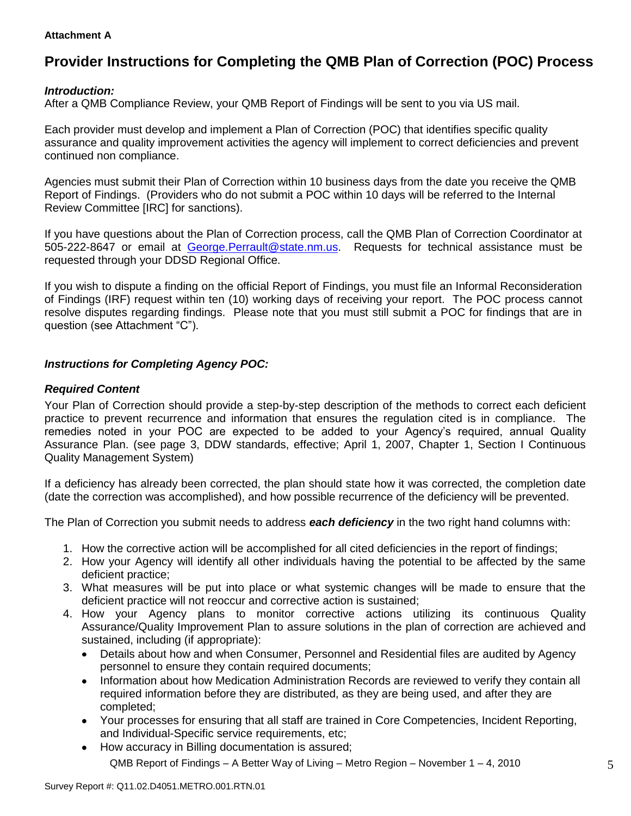### **Attachment A**

# **Provider Instructions for Completing the QMB Plan of Correction (POC) Process**

## *Introduction:*

After a QMB Compliance Review, your QMB Report of Findings will be sent to you via US mail.

Each provider must develop and implement a Plan of Correction (POC) that identifies specific quality assurance and quality improvement activities the agency will implement to correct deficiencies and prevent continued non compliance.

Agencies must submit their Plan of Correction within 10 business days from the date you receive the QMB Report of Findings. (Providers who do not submit a POC within 10 days will be referred to the Internal Review Committee [IRC] for sanctions).

If you have questions about the Plan of Correction process, call the QMB Plan of Correction Coordinator at 505-222-8647 or email at George.Perrault@state.nm.us. Requests for technical assistance must be requested through your DDSD Regional Office.

If you wish to dispute a finding on the official Report of Findings, you must file an Informal Reconsideration of Findings (IRF) request within ten (10) working days of receiving your report. The POC process cannot resolve disputes regarding findings. Please note that you must still submit a POC for findings that are in question (see Attachment "C").

# *Instructions for Completing Agency POC:*

### *Required Content*

Your Plan of Correction should provide a step-by-step description of the methods to correct each deficient practice to prevent recurrence and information that ensures the regulation cited is in compliance. The remedies noted in your POC are expected to be added to your Agency"s required, annual Quality Assurance Plan. (see page 3, DDW standards, effective; April 1, 2007, Chapter 1, Section I Continuous Quality Management System)

If a deficiency has already been corrected, the plan should state how it was corrected, the completion date (date the correction was accomplished), and how possible recurrence of the deficiency will be prevented.

The Plan of Correction you submit needs to address *each deficiency* in the two right hand columns with:

- 1. How the corrective action will be accomplished for all cited deficiencies in the report of findings;
- 2. How your Agency will identify all other individuals having the potential to be affected by the same deficient practice;
- 3. What measures will be put into place or what systemic changes will be made to ensure that the deficient practice will not reoccur and corrective action is sustained;
- 4. How your Agency plans to monitor corrective actions utilizing its continuous Quality Assurance/Quality Improvement Plan to assure solutions in the plan of correction are achieved and sustained, including (if appropriate):
	- Details about how and when Consumer, Personnel and Residential files are audited by Agency  $\bullet$ personnel to ensure they contain required documents;
	- Information about how Medication Administration Records are reviewed to verify they contain all  $\bullet$ required information before they are distributed, as they are being used, and after they are completed;
	- Your processes for ensuring that all staff are trained in Core Competencies, Incident Reporting, and Individual-Specific service requirements, etc;
	- QMB Report of Findings A Better Way of Living Metro Region November 1 4, 2010 How accuracy in Billing documentation is assured;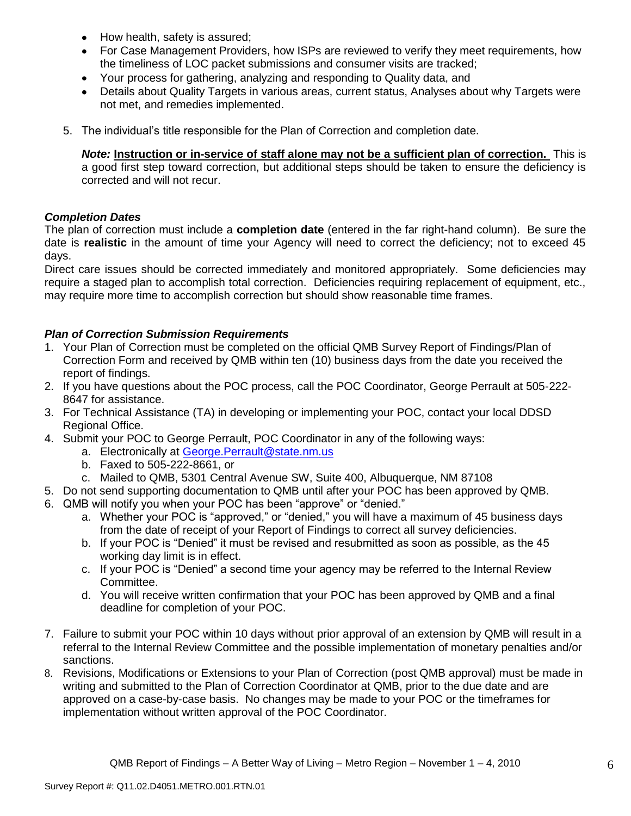- How health, safety is assured;  $\bullet$
- For Case Management Providers, how ISPs are reviewed to verify they meet requirements, how the timeliness of LOC packet submissions and consumer visits are tracked;
- $\bullet$ Your process for gathering, analyzing and responding to Quality data, and
- Details about Quality Targets in various areas, current status, Analyses about why Targets were  $\bullet$ not met, and remedies implemented.
- 5. The individual"s title responsible for the Plan of Correction and completion date.

*Note:* **Instruction or in-service of staff alone may not be a sufficient plan of correction.** This is a good first step toward correction, but additional steps should be taken to ensure the deficiency is corrected and will not recur.

### *Completion Dates*

The plan of correction must include a **completion date** (entered in the far right-hand column). Be sure the date is **realistic** in the amount of time your Agency will need to correct the deficiency; not to exceed 45 days.

Direct care issues should be corrected immediately and monitored appropriately. Some deficiencies may require a staged plan to accomplish total correction. Deficiencies requiring replacement of equipment, etc., may require more time to accomplish correction but should show reasonable time frames.

# *Plan of Correction Submission Requirements*

- 1. Your Plan of Correction must be completed on the official QMB Survey Report of Findings/Plan of Correction Form and received by QMB within ten (10) business days from the date you received the report of findings.
- 2. If you have questions about the POC process, call the POC Coordinator, George Perrault at 505-222- 8647 for assistance.
- 3. For Technical Assistance (TA) in developing or implementing your POC, contact your local DDSD Regional Office.
- 4. Submit your POC to George Perrault, POC Coordinator in any of the following ways:
	- a. Electronically at [George.Perrault@state.nm.us](mailto:George.Perrault@state.nm.us)
	- b. Faxed to 505-222-8661, or
	- c. Mailed to QMB, 5301 Central Avenue SW, Suite 400, Albuquerque, NM 87108
- 5. Do not send supporting documentation to QMB until after your POC has been approved by QMB.
- 6. QMB will notify you when your POC has been "approve" or "denied."
	- a. Whether your POC is "approved," or "denied," you will have a maximum of 45 business days from the date of receipt of your Report of Findings to correct all survey deficiencies.
	- b. If your POC is "Denied" it must be revised and resubmitted as soon as possible, as the 45 working day limit is in effect.
	- c. If your POC is "Denied" a second time your agency may be referred to the Internal Review Committee.
	- d. You will receive written confirmation that your POC has been approved by QMB and a final deadline for completion of your POC.
- 7. Failure to submit your POC within 10 days without prior approval of an extension by QMB will result in a referral to the Internal Review Committee and the possible implementation of monetary penalties and/or sanctions.
- 8. Revisions, Modifications or Extensions to your Plan of Correction (post QMB approval) must be made in writing and submitted to the Plan of Correction Coordinator at QMB, prior to the due date and are approved on a case-by-case basis. No changes may be made to your POC or the timeframes for implementation without written approval of the POC Coordinator.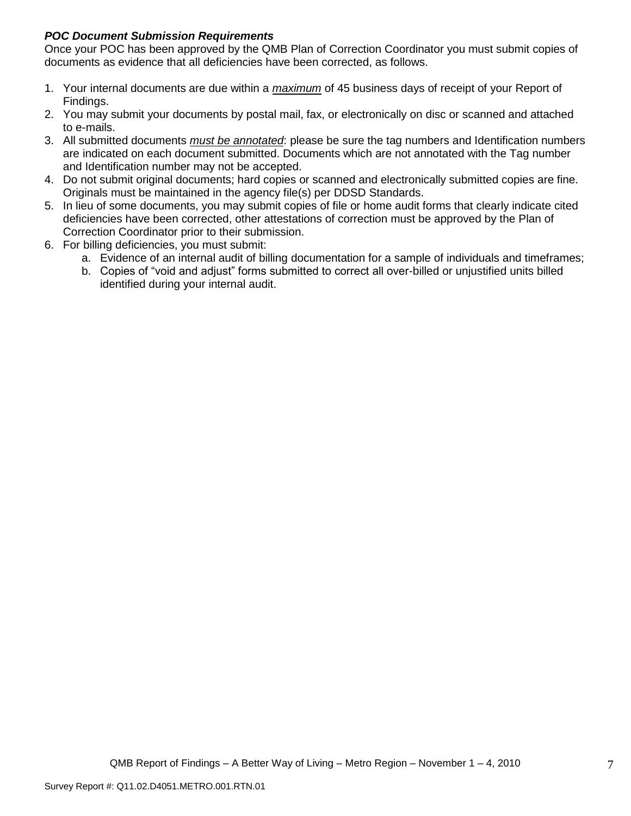# *POC Document Submission Requirements*

Once your POC has been approved by the QMB Plan of Correction Coordinator you must submit copies of documents as evidence that all deficiencies have been corrected, as follows.

- 1. Your internal documents are due within a *maximum* of 45 business days of receipt of your Report of Findings.
- 2. You may submit your documents by postal mail, fax, or electronically on disc or scanned and attached to e-mails.
- 3. All submitted documents *must be annotated*: please be sure the tag numbers and Identification numbers are indicated on each document submitted. Documents which are not annotated with the Tag number and Identification number may not be accepted.
- 4. Do not submit original documents; hard copies or scanned and electronically submitted copies are fine. Originals must be maintained in the agency file(s) per DDSD Standards.
- 5. In lieu of some documents, you may submit copies of file or home audit forms that clearly indicate cited deficiencies have been corrected, other attestations of correction must be approved by the Plan of Correction Coordinator prior to their submission.
- 6. For billing deficiencies, you must submit:
	- a. Evidence of an internal audit of billing documentation for a sample of individuals and timeframes;
	- b. Copies of "void and adjust" forms submitted to correct all over-billed or unjustified units billed identified during your internal audit.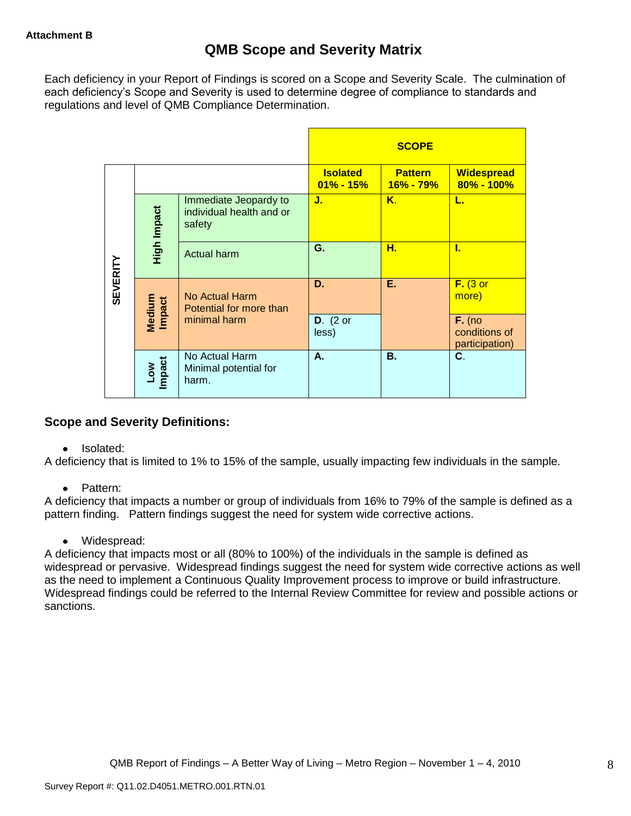Each deficiency in your Report of Findings is scored on a Scope and Severity Scale. The culmination of each deficiency"s Scope and Severity is used to determine degree of compliance to standards and regulations and level of QMB Compliance Determination.

|                 |                      |                                                             |                                  | <b>SCOPE</b>                |                                             |
|-----------------|----------------------|-------------------------------------------------------------|----------------------------------|-----------------------------|---------------------------------------------|
|                 |                      |                                                             | <b>Isolated</b><br>$01\% - 15\%$ | <b>Pattern</b><br>16% - 79% | <b>Widespread</b><br>80% - 100%             |
|                 | High Impact          | Immediate Jeopardy to<br>individual health and or<br>safety | J.                               | Κ.                          | L.                                          |
|                 |                      | <b>Actual harm</b>                                          | G.                               | н.                          | L                                           |
| <b>SEVERITY</b> | Medium<br>Impact     | No Actual Harm<br>Potential for more than                   | D.                               | Ε.                          | $F.$ (3 or<br>more)                         |
|                 |                      | minimal harm                                                | $D.$ (2 or<br>less)              |                             | $F.$ (no<br>conditions of<br>participation) |
|                 | <b>Impact</b><br>Low | No Actual Harm<br>Minimal potential for<br>harm.            | А.                               | <b>B.</b>                   | C.                                          |

# **Scope and Severity Definitions:**

• Isolated:

A deficiency that is limited to 1% to 15% of the sample, usually impacting few individuals in the sample.

• Pattern:

A deficiency that impacts a number or group of individuals from 16% to 79% of the sample is defined as a pattern finding. Pattern findings suggest the need for system wide corrective actions.

• Widespread:

A deficiency that impacts most or all (80% to 100%) of the individuals in the sample is defined as widespread or pervasive. Widespread findings suggest the need for system wide corrective actions as well as the need to implement a Continuous Quality Improvement process to improve or build infrastructure. Widespread findings could be referred to the Internal Review Committee for review and possible actions or sanctions.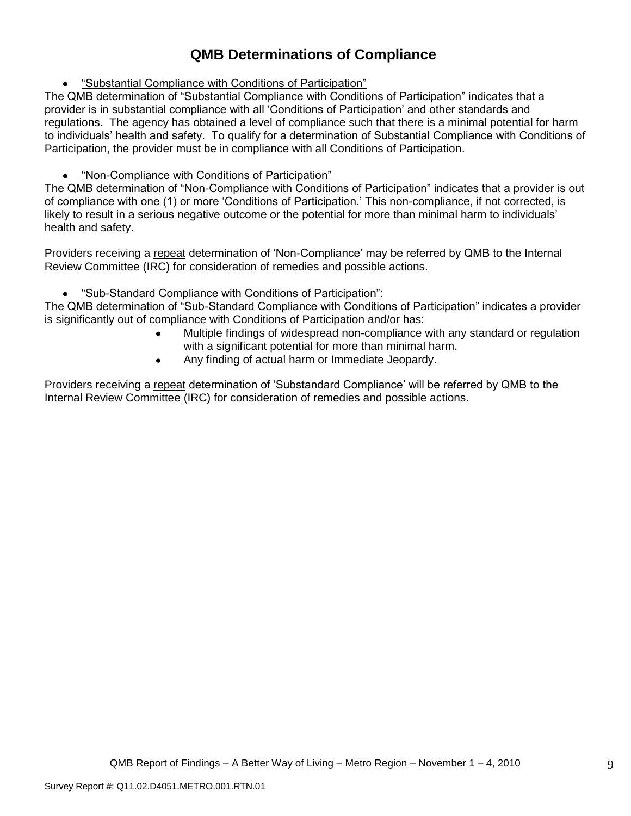# **QMB Determinations of Compliance**

"Substantial Compliance with Conditions of Participation"

The QMB determination of "Substantial Compliance with Conditions of Participation" indicates that a provider is in substantial compliance with all "Conditions of Participation" and other standards and regulations. The agency has obtained a level of compliance such that there is a minimal potential for harm to individuals" health and safety. To qualify for a determination of Substantial Compliance with Conditions of Participation, the provider must be in compliance with all Conditions of Participation.

# "Non-Compliance with Conditions of Participation"

The QMB determination of "Non-Compliance with Conditions of Participation" indicates that a provider is out of compliance with one (1) or more "Conditions of Participation." This non-compliance, if not corrected, is likely to result in a serious negative outcome or the potential for more than minimal harm to individuals' health and safety.

Providers receiving a repeat determination of 'Non-Compliance' may be referred by QMB to the Internal Review Committee (IRC) for consideration of remedies and possible actions.

#### $\bullet$ "Sub-Standard Compliance with Conditions of Participation":

The QMB determination of "Sub-Standard Compliance with Conditions of Participation" indicates a provider is significantly out of compliance with Conditions of Participation and/or has:

- Multiple findings of widespread non-compliance with any standard or regulation with a significant potential for more than minimal harm.
- Any finding of actual harm or Immediate Jeopardy.  $\bullet$

Providers receiving a repeat determination of 'Substandard Compliance' will be referred by QMB to the Internal Review Committee (IRC) for consideration of remedies and possible actions.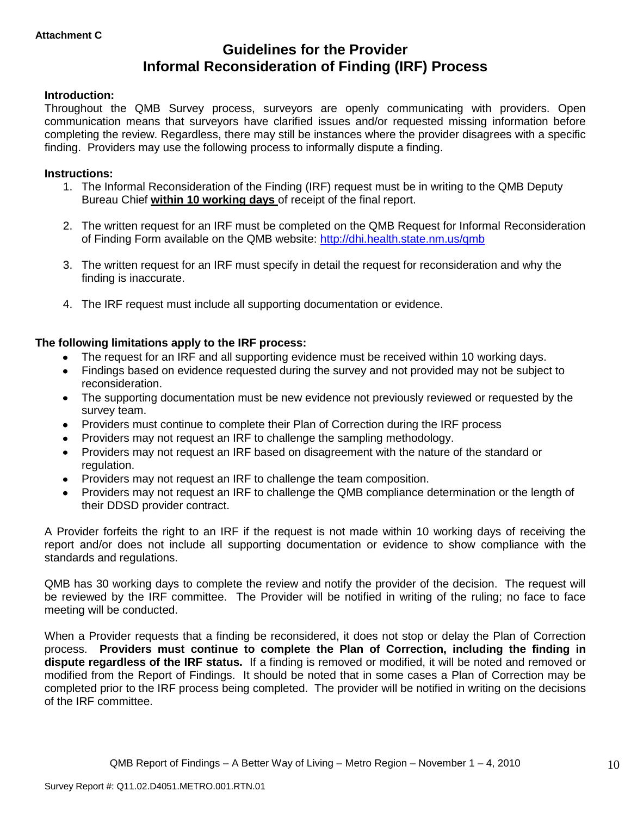# **Guidelines for the Provider Informal Reconsideration of Finding (IRF) Process**

### **Introduction:**

Throughout the QMB Survey process, surveyors are openly communicating with providers. Open communication means that surveyors have clarified issues and/or requested missing information before completing the review. Regardless, there may still be instances where the provider disagrees with a specific finding. Providers may use the following process to informally dispute a finding.

### **Instructions:**

- 1. The Informal Reconsideration of the Finding (IRF) request must be in writing to the QMB Deputy Bureau Chief **within 10 working days** of receipt of the final report.
- 2. The written request for an IRF must be completed on the QMB Request for Informal Reconsideration of Finding Form available on the QMB website:<http://dhi.health.state.nm.us/qmb>
- 3. The written request for an IRF must specify in detail the request for reconsideration and why the finding is inaccurate.
- 4. The IRF request must include all supporting documentation or evidence.

### **The following limitations apply to the IRF process:**

- The request for an IRF and all supporting evidence must be received within 10 working days.
- Findings based on evidence requested during the survey and not provided may not be subject to reconsideration.
- The supporting documentation must be new evidence not previously reviewed or requested by the survey team.
- Providers must continue to complete their Plan of Correction during the IRF process  $\bullet$
- Providers may not request an IRF to challenge the sampling methodology.
- Providers may not request an IRF based on disagreement with the nature of the standard or  $\bullet$ regulation.
- Providers may not request an IRF to challenge the team composition.
- Providers may not request an IRF to challenge the QMB compliance determination or the length of  $\bullet$ their DDSD provider contract.

A Provider forfeits the right to an IRF if the request is not made within 10 working days of receiving the report and/or does not include all supporting documentation or evidence to show compliance with the standards and regulations.

QMB has 30 working days to complete the review and notify the provider of the decision. The request will be reviewed by the IRF committee. The Provider will be notified in writing of the ruling; no face to face meeting will be conducted.

When a Provider requests that a finding be reconsidered, it does not stop or delay the Plan of Correction process. **Providers must continue to complete the Plan of Correction, including the finding in dispute regardless of the IRF status.** If a finding is removed or modified, it will be noted and removed or modified from the Report of Findings. It should be noted that in some cases a Plan of Correction may be completed prior to the IRF process being completed. The provider will be notified in writing on the decisions of the IRF committee.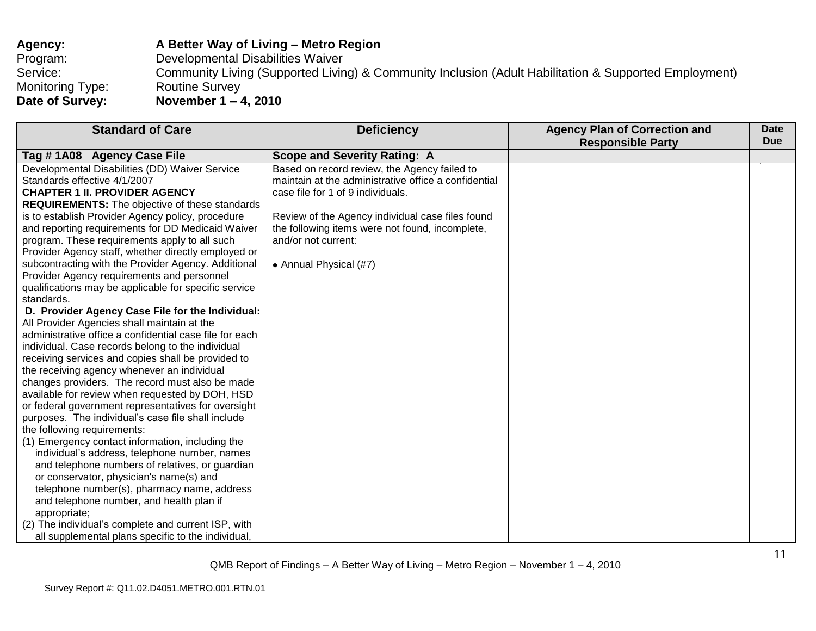| Agency:          | A Better Way of Living – Metro Region                                                                 |
|------------------|-------------------------------------------------------------------------------------------------------|
| Program:         | Developmental Disabilities Waiver                                                                     |
| Service:         | Community Living (Supported Living) & Community Inclusion (Adult Habilitation & Supported Employment) |
| Monitoring Type: | <b>Routine Survey</b>                                                                                 |
| Date of Survey:  | November $1 - 4$ , 2010                                                                               |

| <b>Standard of Care</b>                                                                                                                                                                                                                                                                                                                                                                                                                                                                                                                                                                                                                                                                                                                                                                                                                                                                                                                                                                                                                                                                                                                                                                                                                                                                                                                                                                                                                                                                                                      | <b>Deficiency</b>                                                                                                                                                                                                                                                                                 | <b>Agency Plan of Correction and</b><br><b>Responsible Party</b> | Date<br><b>Due</b> |
|------------------------------------------------------------------------------------------------------------------------------------------------------------------------------------------------------------------------------------------------------------------------------------------------------------------------------------------------------------------------------------------------------------------------------------------------------------------------------------------------------------------------------------------------------------------------------------------------------------------------------------------------------------------------------------------------------------------------------------------------------------------------------------------------------------------------------------------------------------------------------------------------------------------------------------------------------------------------------------------------------------------------------------------------------------------------------------------------------------------------------------------------------------------------------------------------------------------------------------------------------------------------------------------------------------------------------------------------------------------------------------------------------------------------------------------------------------------------------------------------------------------------------|---------------------------------------------------------------------------------------------------------------------------------------------------------------------------------------------------------------------------------------------------------------------------------------------------|------------------------------------------------------------------|--------------------|
| Tag #1A08 Agency Case File                                                                                                                                                                                                                                                                                                                                                                                                                                                                                                                                                                                                                                                                                                                                                                                                                                                                                                                                                                                                                                                                                                                                                                                                                                                                                                                                                                                                                                                                                                   | <b>Scope and Severity Rating: A</b>                                                                                                                                                                                                                                                               |                                                                  |                    |
| Developmental Disabilities (DD) Waiver Service<br>Standards effective 4/1/2007<br><b>CHAPTER 1 II. PROVIDER AGENCY</b><br><b>REQUIREMENTS:</b> The objective of these standards<br>is to establish Provider Agency policy, procedure<br>and reporting requirements for DD Medicaid Waiver<br>program. These requirements apply to all such<br>Provider Agency staff, whether directly employed or<br>subcontracting with the Provider Agency. Additional<br>Provider Agency requirements and personnel<br>qualifications may be applicable for specific service<br>standards.<br>D. Provider Agency Case File for the Individual:<br>All Provider Agencies shall maintain at the<br>administrative office a confidential case file for each<br>individual. Case records belong to the individual<br>receiving services and copies shall be provided to<br>the receiving agency whenever an individual<br>changes providers. The record must also be made<br>available for review when requested by DOH, HSD<br>or federal government representatives for oversight<br>purposes. The individual's case file shall include<br>the following requirements:<br>(1) Emergency contact information, including the<br>individual's address, telephone number, names<br>and telephone numbers of relatives, or guardian<br>or conservator, physician's name(s) and<br>telephone number(s), pharmacy name, address<br>and telephone number, and health plan if<br>appropriate;<br>(2) The individual's complete and current ISP, with | Based on record review, the Agency failed to<br>maintain at the administrative office a confidential<br>case file for 1 of 9 individuals.<br>Review of the Agency individual case files found<br>the following items were not found, incomplete,<br>and/or not current:<br>• Annual Physical (#7) |                                                                  |                    |
| all supplemental plans specific to the individual,                                                                                                                                                                                                                                                                                                                                                                                                                                                                                                                                                                                                                                                                                                                                                                                                                                                                                                                                                                                                                                                                                                                                                                                                                                                                                                                                                                                                                                                                           |                                                                                                                                                                                                                                                                                                   |                                                                  |                    |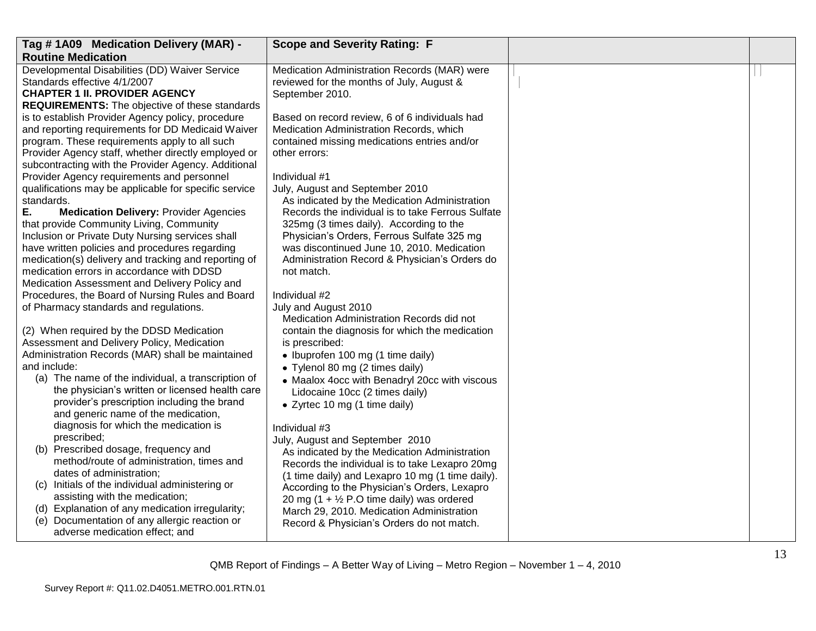| Tag #1A09 Medication Delivery (MAR) -                                                                      | <b>Scope and Severity Rating: F</b>                  |  |
|------------------------------------------------------------------------------------------------------------|------------------------------------------------------|--|
| <b>Routine Medication</b>                                                                                  |                                                      |  |
| Developmental Disabilities (DD) Waiver Service                                                             | Medication Administration Records (MAR) were         |  |
| Standards effective 4/1/2007                                                                               | reviewed for the months of July, August &            |  |
| <b>CHAPTER 1 II. PROVIDER AGENCY</b>                                                                       | September 2010.                                      |  |
| <b>REQUIREMENTS:</b> The objective of these standards                                                      |                                                      |  |
| is to establish Provider Agency policy, procedure                                                          | Based on record review, 6 of 6 individuals had       |  |
| and reporting requirements for DD Medicaid Waiver                                                          | Medication Administration Records, which             |  |
| program. These requirements apply to all such                                                              | contained missing medications entries and/or         |  |
| Provider Agency staff, whether directly employed or<br>subcontracting with the Provider Agency. Additional | other errors:                                        |  |
| Provider Agency requirements and personnel                                                                 | Individual #1                                        |  |
| qualifications may be applicable for specific service                                                      | July, August and September 2010                      |  |
| standards.                                                                                                 | As indicated by the Medication Administration        |  |
| Е.<br><b>Medication Delivery: Provider Agencies</b>                                                        | Records the individual is to take Ferrous Sulfate    |  |
| that provide Community Living, Community                                                                   | 325mg (3 times daily). According to the              |  |
| Inclusion or Private Duty Nursing services shall                                                           | Physician's Orders, Ferrous Sulfate 325 mg           |  |
| have written policies and procedures regarding                                                             | was discontinued June 10, 2010. Medication           |  |
| medication(s) delivery and tracking and reporting of                                                       | Administration Record & Physician's Orders do        |  |
| medication errors in accordance with DDSD                                                                  | not match.                                           |  |
| Medication Assessment and Delivery Policy and                                                              |                                                      |  |
| Procedures, the Board of Nursing Rules and Board                                                           | Individual #2                                        |  |
| of Pharmacy standards and regulations.                                                                     | July and August 2010                                 |  |
|                                                                                                            | Medication Administration Records did not            |  |
| (2) When required by the DDSD Medication                                                                   | contain the diagnosis for which the medication       |  |
| Assessment and Delivery Policy, Medication                                                                 | is prescribed:                                       |  |
| Administration Records (MAR) shall be maintained                                                           | • Ibuprofen 100 mg (1 time daily)                    |  |
| and include:                                                                                               | • Tylenol 80 mg (2 times daily)                      |  |
| (a) The name of the individual, a transcription of<br>the physician's written or licensed health care      | • Maalox 4occ with Benadryl 20cc with viscous        |  |
| provider's prescription including the brand                                                                | Lidocaine 10cc (2 times daily)                       |  |
| and generic name of the medication,                                                                        | • Zyrtec 10 mg (1 time daily)                        |  |
| diagnosis for which the medication is                                                                      | Individual #3                                        |  |
| prescribed;                                                                                                | July, August and September 2010                      |  |
| (b) Prescribed dosage, frequency and                                                                       | As indicated by the Medication Administration        |  |
| method/route of administration, times and                                                                  | Records the individual is to take Lexapro 20mg       |  |
| dates of administration;                                                                                   | (1 time daily) and Lexapro 10 mg (1 time daily).     |  |
| (c) Initials of the individual administering or                                                            | According to the Physician's Orders, Lexapro         |  |
| assisting with the medication;                                                                             | 20 mg (1 + $\frac{1}{2}$ P.O time daily) was ordered |  |
| (d) Explanation of any medication irregularity;                                                            | March 29, 2010. Medication Administration            |  |
| (e) Documentation of any allergic reaction or                                                              | Record & Physician's Orders do not match.            |  |
| adverse medication effect; and                                                                             |                                                      |  |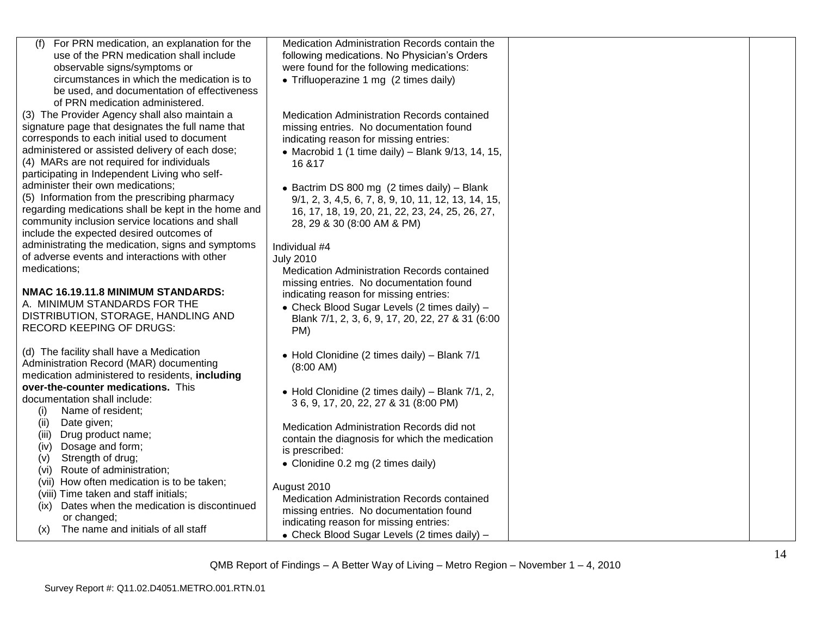| (f)<br>For PRN medication, an explanation for the   | Medication Administration Records contain the        |  |
|-----------------------------------------------------|------------------------------------------------------|--|
| use of the PRN medication shall include             | following medications. No Physician's Orders         |  |
| observable signs/symptoms or                        |                                                      |  |
|                                                     | were found for the following medications:            |  |
| circumstances in which the medication is to         | • Trifluoperazine 1 mg (2 times daily)               |  |
| be used, and documentation of effectiveness         |                                                      |  |
| of PRN medication administered.                     |                                                      |  |
| (3) The Provider Agency shall also maintain a       | Medication Administration Records contained          |  |
| signature page that designates the full name that   | missing entries. No documentation found              |  |
| corresponds to each initial used to document        | indicating reason for missing entries:               |  |
| administered or assisted delivery of each dose;     | • Macrobid 1 (1 time daily) – Blank $9/13$ , 14, 15, |  |
| (4) MARs are not required for individuals           | 16 & 17                                              |  |
| participating in Independent Living who self-       |                                                      |  |
| administer their own medications;                   | • Bactrim DS 800 mg (2 times daily) - Blank          |  |
| (5) Information from the prescribing pharmacy       |                                                      |  |
| regarding medications shall be kept in the home and | 9/1, 2, 3, 4,5, 6, 7, 8, 9, 10, 11, 12, 13, 14, 15,  |  |
| community inclusion service locations and shall     | 16, 17, 18, 19, 20, 21, 22, 23, 24, 25, 26, 27,      |  |
|                                                     | 28, 29 & 30 (8:00 AM & PM)                           |  |
| include the expected desired outcomes of            |                                                      |  |
| administrating the medication, signs and symptoms   | Individual #4                                        |  |
| of adverse events and interactions with other       | <b>July 2010</b>                                     |  |
| medications;                                        | Medication Administration Records contained          |  |
|                                                     | missing entries. No documentation found              |  |
| NMAC 16.19.11.8 MINIMUM STANDARDS:                  | indicating reason for missing entries:               |  |
| A. MINIMUM STANDARDS FOR THE                        | • Check Blood Sugar Levels (2 times daily) -         |  |
| DISTRIBUTION, STORAGE, HANDLING AND                 | Blank 7/1, 2, 3, 6, 9, 17, 20, 22, 27 & 31 (6:00     |  |
| RECORD KEEPING OF DRUGS:                            | PM)                                                  |  |
|                                                     |                                                      |  |
| (d) The facility shall have a Medication            | • Hold Clonidine (2 times daily) - Blank 7/1         |  |
| Administration Record (MAR) documenting             | (8:00 AM)                                            |  |
| medication administered to residents, including     |                                                      |  |
| over-the-counter medications. This                  | • Hold Clonidine (2 times daily) – Blank $7/1$ , 2,  |  |
| documentation shall include:                        | 36, 9, 17, 20, 22, 27 & 31 (8:00 PM)                 |  |
| Name of resident;<br>(i)                            |                                                      |  |
| Date given;<br>(ii)                                 | Medication Administration Records did not            |  |
| Drug product name;<br>(iii)                         | contain the diagnosis for which the medication       |  |
| Dosage and form;<br>(iv)                            |                                                      |  |
| Strength of drug;<br>(v)                            | is prescribed:                                       |  |
| (vi) Route of administration;                       | • Clonidine 0.2 mg (2 times daily)                   |  |
| (vii) How often medication is to be taken;          |                                                      |  |
| (viii) Time taken and staff initials;               | August 2010                                          |  |
| Dates when the medication is discontinued<br>(ix)   | Medication Administration Records contained          |  |
| or changed;                                         | missing entries. No documentation found              |  |
| The name and initials of all staff<br>(X)           | indicating reason for missing entries:               |  |
|                                                     | • Check Blood Sugar Levels (2 times daily) -         |  |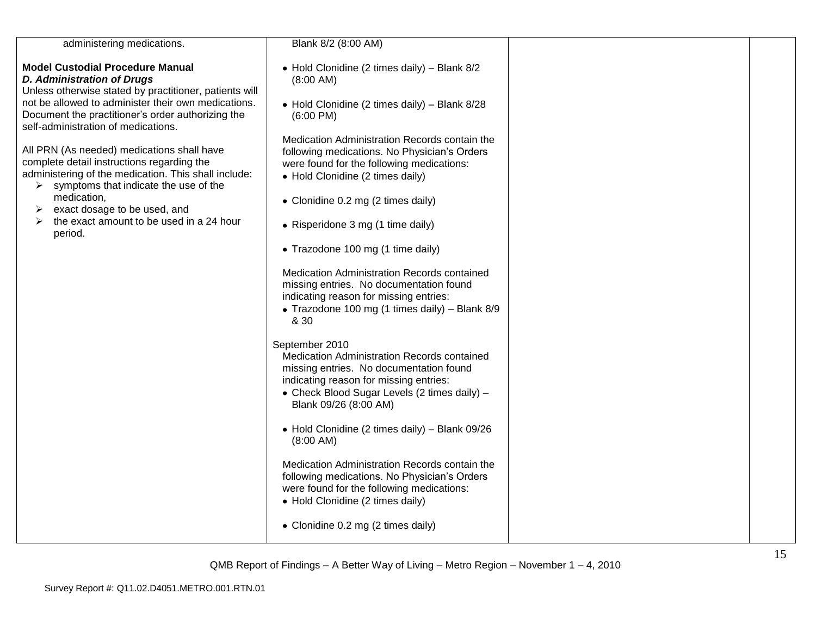| administering medications.                                                                                                                                                                | Blank 8/2 (8:00 AM)                                                                                                                                                                                                         |  |
|-------------------------------------------------------------------------------------------------------------------------------------------------------------------------------------------|-----------------------------------------------------------------------------------------------------------------------------------------------------------------------------------------------------------------------------|--|
| <b>Model Custodial Procedure Manual</b><br><b>D. Administration of Drugs</b><br>Unless otherwise stated by practitioner, patients will                                                    | • Hold Clonidine (2 times daily) - Blank 8/2<br>$(8:00 \text{ AM})$                                                                                                                                                         |  |
| not be allowed to administer their own medications.<br>Document the practitioner's order authorizing the<br>self-administration of medications.                                           | • Hold Clonidine (2 times daily) - Blank 8/28<br>$(6:00 \text{ PM})$                                                                                                                                                        |  |
| All PRN (As needed) medications shall have<br>complete detail instructions regarding the<br>administering of the medication. This shall include:<br>symptoms that indicate the use of the | Medication Administration Records contain the<br>following medications. No Physician's Orders<br>were found for the following medications:<br>• Hold Clonidine (2 times daily)                                              |  |
| ➤<br>medication,<br>exact dosage to be used, and<br>➤                                                                                                                                     | • Clonidine 0.2 mg (2 times daily)                                                                                                                                                                                          |  |
| the exact amount to be used in a 24 hour<br>➤<br>period.                                                                                                                                  | • Risperidone 3 mg (1 time daily)                                                                                                                                                                                           |  |
|                                                                                                                                                                                           | • Trazodone 100 mg (1 time daily)                                                                                                                                                                                           |  |
|                                                                                                                                                                                           | Medication Administration Records contained<br>missing entries. No documentation found<br>indicating reason for missing entries:<br>• Trazodone 100 mg (1 times daily) – Blank $8/9$<br>& 30                                |  |
|                                                                                                                                                                                           | September 2010<br>Medication Administration Records contained<br>missing entries. No documentation found<br>indicating reason for missing entries:<br>• Check Blood Sugar Levels (2 times daily) -<br>Blank 09/26 (8:00 AM) |  |
|                                                                                                                                                                                           | • Hold Clonidine (2 times daily) - Blank 09/26<br>$(8:00 \text{ AM})$                                                                                                                                                       |  |
|                                                                                                                                                                                           | Medication Administration Records contain the<br>following medications. No Physician's Orders<br>were found for the following medications:<br>• Hold Clonidine (2 times daily)                                              |  |
|                                                                                                                                                                                           | • Clonidine 0.2 mg (2 times daily)                                                                                                                                                                                          |  |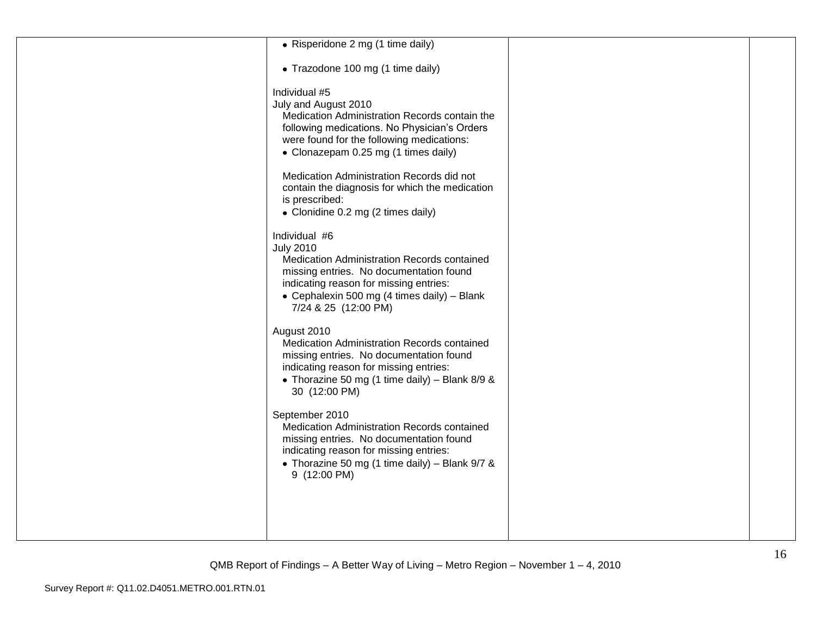| • Risperidone 2 mg (1 time daily)                                                                                                                                                                                                                                                                                                                                                  |  |
|------------------------------------------------------------------------------------------------------------------------------------------------------------------------------------------------------------------------------------------------------------------------------------------------------------------------------------------------------------------------------------|--|
| • Trazodone 100 mg (1 time daily)                                                                                                                                                                                                                                                                                                                                                  |  |
| Individual #5<br>July and August 2010<br>Medication Administration Records contain the<br>following medications. No Physician's Orders<br>were found for the following medications:<br>• Clonazepam 0.25 mg (1 times daily)<br>Medication Administration Records did not<br>contain the diagnosis for which the medication<br>is prescribed:<br>• Clonidine 0.2 mg (2 times daily) |  |
| Individual #6<br><b>July 2010</b><br>Medication Administration Records contained<br>missing entries. No documentation found<br>indicating reason for missing entries:<br>• Cephalexin 500 mg (4 times daily) - Blank<br>7/24 & 25 (12:00 PM)                                                                                                                                       |  |
| August 2010<br>Medication Administration Records contained<br>missing entries. No documentation found<br>indicating reason for missing entries:<br>• Thorazine 50 mg (1 time daily) - Blank 8/9 &<br>30 (12:00 PM)                                                                                                                                                                 |  |
| September 2010<br>Medication Administration Records contained<br>missing entries. No documentation found<br>indicating reason for missing entries:<br>• Thorazine 50 mg (1 time daily) - Blank 9/7 &<br>9 (12:00 PM)                                                                                                                                                               |  |
|                                                                                                                                                                                                                                                                                                                                                                                    |  |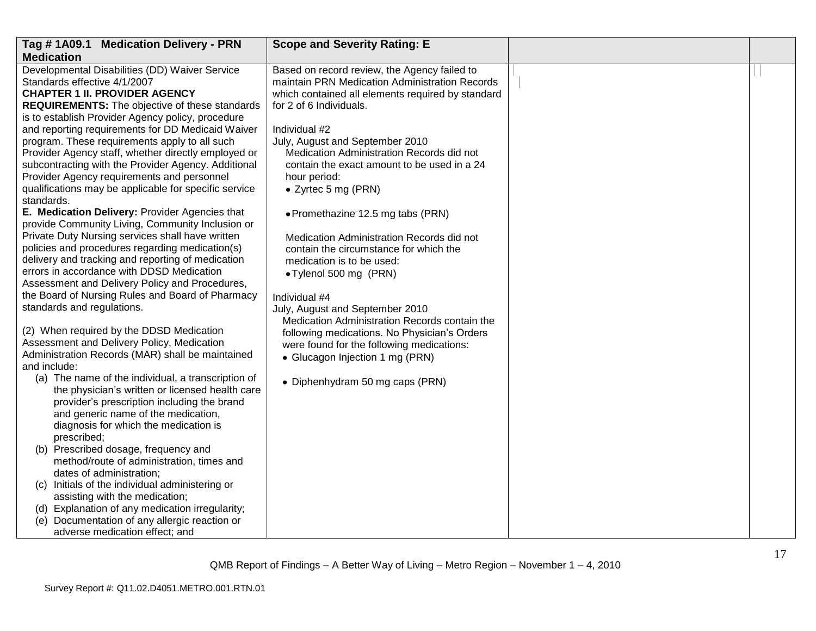| Tag #1A09.1 Medication Delivery - PRN                                                                                                                                                                                                                                                                                                                                                                                                           | <b>Scope and Severity Rating: E</b>                                                                                                                                                                                                                 |  |
|-------------------------------------------------------------------------------------------------------------------------------------------------------------------------------------------------------------------------------------------------------------------------------------------------------------------------------------------------------------------------------------------------------------------------------------------------|-----------------------------------------------------------------------------------------------------------------------------------------------------------------------------------------------------------------------------------------------------|--|
| <b>Medication</b>                                                                                                                                                                                                                                                                                                                                                                                                                               |                                                                                                                                                                                                                                                     |  |
| Developmental Disabilities (DD) Waiver Service<br>Standards effective 4/1/2007<br><b>CHAPTER 1 II. PROVIDER AGENCY</b><br><b>REQUIREMENTS:</b> The objective of these standards<br>is to establish Provider Agency policy, procedure<br>and reporting requirements for DD Medicaid Waiver<br>program. These requirements apply to all such                                                                                                      | Based on record review, the Agency failed to<br>maintain PRN Medication Administration Records<br>which contained all elements required by standard<br>for 2 of 6 Individuals.<br>Individual #2<br>July, August and September 2010                  |  |
| Provider Agency staff, whether directly employed or<br>subcontracting with the Provider Agency. Additional<br>Provider Agency requirements and personnel<br>qualifications may be applicable for specific service<br>standards.                                                                                                                                                                                                                 | Medication Administration Records did not<br>contain the exact amount to be used in a 24<br>hour period:<br>• Zyrtec 5 mg (PRN)                                                                                                                     |  |
| E. Medication Delivery: Provider Agencies that<br>provide Community Living, Community Inclusion or<br>Private Duty Nursing services shall have written<br>policies and procedures regarding medication(s)<br>delivery and tracking and reporting of medication<br>errors in accordance with DDSD Medication<br>Assessment and Delivery Policy and Procedures,<br>the Board of Nursing Rules and Board of Pharmacy                               | • Promethazine 12.5 mg tabs (PRN)<br>Medication Administration Records did not<br>contain the circumstance for which the<br>medication is to be used:<br>• Tylenol 500 mg (PRN)<br>Individual #4                                                    |  |
| standards and regulations.<br>(2) When required by the DDSD Medication<br>Assessment and Delivery Policy, Medication<br>Administration Records (MAR) shall be maintained<br>and include:<br>(a) The name of the individual, a transcription of<br>the physician's written or licensed health care<br>provider's prescription including the brand<br>and generic name of the medication,<br>diagnosis for which the medication is<br>prescribed; | July, August and September 2010<br>Medication Administration Records contain the<br>following medications. No Physician's Orders<br>were found for the following medications:<br>• Glucagon Injection 1 mg (PRN)<br>• Diphenhydram 50 mg caps (PRN) |  |
| (b) Prescribed dosage, frequency and<br>method/route of administration, times and<br>dates of administration;<br>(c) Initials of the individual administering or<br>assisting with the medication;<br>(d) Explanation of any medication irregularity;<br>(e) Documentation of any allergic reaction or<br>adverse medication effect; and                                                                                                        |                                                                                                                                                                                                                                                     |  |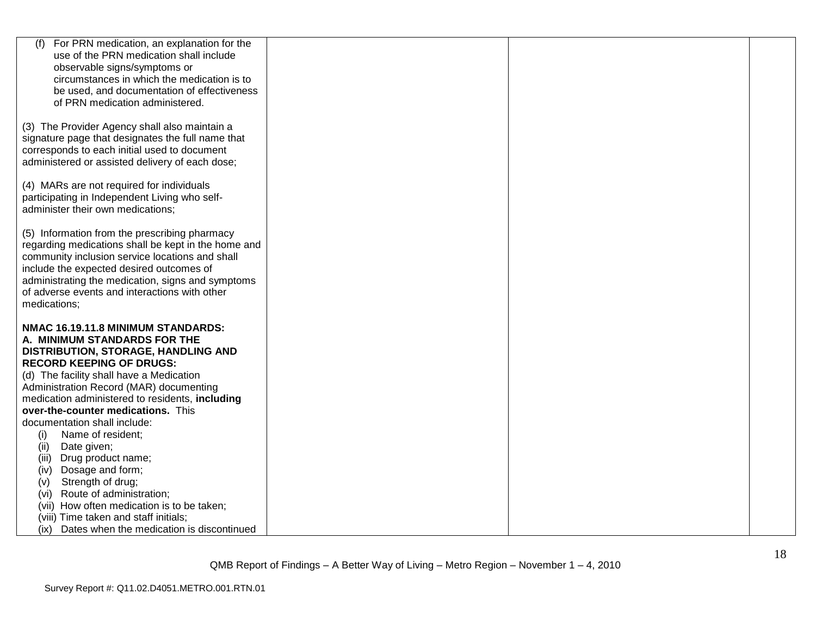| For PRN medication, an explanation for the<br>(f)   |  |  |
|-----------------------------------------------------|--|--|
| use of the PRN medication shall include             |  |  |
| observable signs/symptoms or                        |  |  |
| circumstances in which the medication is to         |  |  |
| be used, and documentation of effectiveness         |  |  |
| of PRN medication administered.                     |  |  |
|                                                     |  |  |
| (3) The Provider Agency shall also maintain a       |  |  |
|                                                     |  |  |
| signature page that designates the full name that   |  |  |
| corresponds to each initial used to document        |  |  |
| administered or assisted delivery of each dose;     |  |  |
|                                                     |  |  |
| (4) MARs are not required for individuals           |  |  |
| participating in Independent Living who self-       |  |  |
| administer their own medications;                   |  |  |
|                                                     |  |  |
| (5) Information from the prescribing pharmacy       |  |  |
| regarding medications shall be kept in the home and |  |  |
| community inclusion service locations and shall     |  |  |
| include the expected desired outcomes of            |  |  |
| administrating the medication, signs and symptoms   |  |  |
| of adverse events and interactions with other       |  |  |
| medications;                                        |  |  |
|                                                     |  |  |
| NMAC 16.19.11.8 MINIMUM STANDARDS:                  |  |  |
| A. MINIMUM STANDARDS FOR THE                        |  |  |
| DISTRIBUTION, STORAGE, HANDLING AND                 |  |  |
| <b>RECORD KEEPING OF DRUGS:</b>                     |  |  |
| (d) The facility shall have a Medication            |  |  |
| Administration Record (MAR) documenting             |  |  |
| medication administered to residents, including     |  |  |
| over-the-counter medications. This                  |  |  |
| documentation shall include:                        |  |  |
| (i)<br>Name of resident;                            |  |  |
| Date given;<br>(ii)                                 |  |  |
| (iii)<br>Drug product name;                         |  |  |
| Dosage and form;<br>(iv)                            |  |  |
| Strength of drug;<br>(v)                            |  |  |
| Route of administration;<br>(vi)                    |  |  |
| (vii) How often medication is to be taken;          |  |  |
| (viii) Time taken and staff initials;               |  |  |
| (ix) Dates when the medication is discontinued      |  |  |
|                                                     |  |  |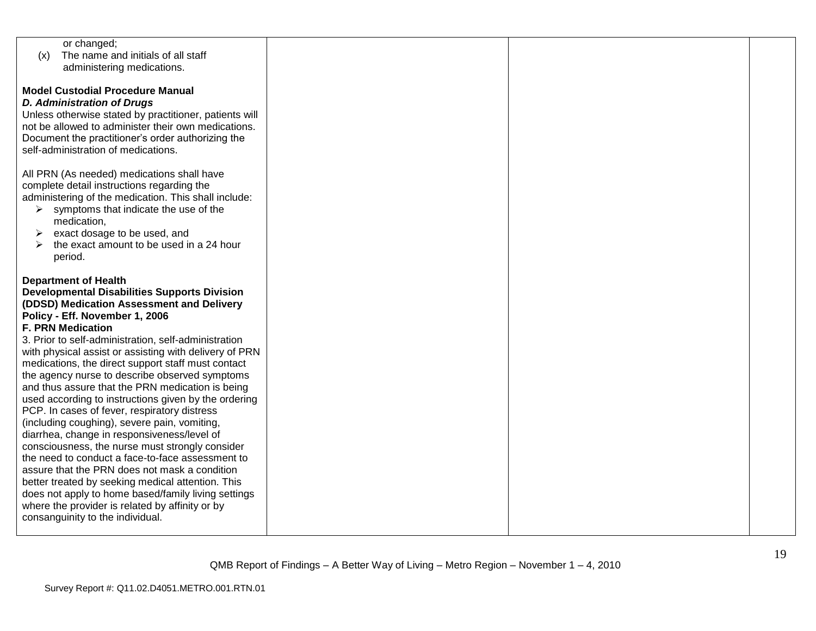| or changed;                                            |  |  |
|--------------------------------------------------------|--|--|
| The name and initials of all staff<br>(x)              |  |  |
| administering medications.                             |  |  |
|                                                        |  |  |
|                                                        |  |  |
| <b>Model Custodial Procedure Manual</b>                |  |  |
| <b>D. Administration of Drugs</b>                      |  |  |
| Unless otherwise stated by practitioner, patients will |  |  |
| not be allowed to administer their own medications.    |  |  |
|                                                        |  |  |
| Document the practitioner's order authorizing the      |  |  |
| self-administration of medications.                    |  |  |
|                                                        |  |  |
| All PRN (As needed) medications shall have             |  |  |
| complete detail instructions regarding the             |  |  |
|                                                        |  |  |
| administering of the medication. This shall include:   |  |  |
| symptoms that indicate the use of the<br>➤             |  |  |
| medication,                                            |  |  |
| exact dosage to be used, and<br>➤                      |  |  |
| the exact amount to be used in a 24 hour               |  |  |
|                                                        |  |  |
| period.                                                |  |  |
|                                                        |  |  |
| <b>Department of Health</b>                            |  |  |
| <b>Developmental Disabilities Supports Division</b>    |  |  |
| (DDSD) Medication Assessment and Delivery              |  |  |
|                                                        |  |  |
| Policy - Eff. November 1, 2006                         |  |  |
| <b>F. PRN Medication</b>                               |  |  |
| 3. Prior to self-administration, self-administration   |  |  |
| with physical assist or assisting with delivery of PRN |  |  |
| medications, the direct support staff must contact     |  |  |
|                                                        |  |  |
| the agency nurse to describe observed symptoms         |  |  |
| and thus assure that the PRN medication is being       |  |  |
| used according to instructions given by the ordering   |  |  |
| PCP. In cases of fever, respiratory distress           |  |  |
| (including coughing), severe pain, vomiting,           |  |  |
| diarrhea, change in responsiveness/level of            |  |  |
|                                                        |  |  |
| consciousness, the nurse must strongly consider        |  |  |
| the need to conduct a face-to-face assessment to       |  |  |
| assure that the PRN does not mask a condition          |  |  |
| better treated by seeking medical attention. This      |  |  |
| does not apply to home based/family living settings    |  |  |
|                                                        |  |  |
| where the provider is related by affinity or by        |  |  |
| consanguinity to the individual.                       |  |  |
|                                                        |  |  |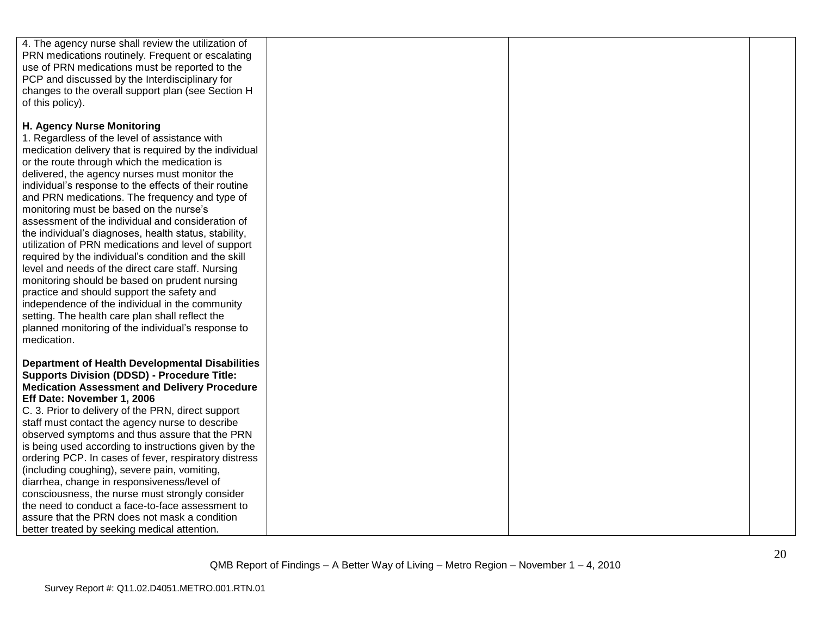| 4. The agency nurse shall review the utilization of<br>PRN medications routinely. Frequent or escalating<br>use of PRN medications must be reported to the<br>PCP and discussed by the Interdisciplinary for<br>changes to the overall support plan (see Section H<br>of this policy).                                                                                                                                                                                                                                                                                                                                                                                                                                                                                                                                                                                                                                                                   |  |  |
|----------------------------------------------------------------------------------------------------------------------------------------------------------------------------------------------------------------------------------------------------------------------------------------------------------------------------------------------------------------------------------------------------------------------------------------------------------------------------------------------------------------------------------------------------------------------------------------------------------------------------------------------------------------------------------------------------------------------------------------------------------------------------------------------------------------------------------------------------------------------------------------------------------------------------------------------------------|--|--|
| H. Agency Nurse Monitoring<br>1. Regardless of the level of assistance with<br>medication delivery that is required by the individual<br>or the route through which the medication is<br>delivered, the agency nurses must monitor the<br>individual's response to the effects of their routine<br>and PRN medications. The frequency and type of<br>monitoring must be based on the nurse's<br>assessment of the individual and consideration of<br>the individual's diagnoses, health status, stability,<br>utilization of PRN medications and level of support<br>required by the individual's condition and the skill<br>level and needs of the direct care staff. Nursing<br>monitoring should be based on prudent nursing<br>practice and should support the safety and<br>independence of the individual in the community<br>setting. The health care plan shall reflect the<br>planned monitoring of the individual's response to<br>medication. |  |  |
| <b>Department of Health Developmental Disabilities</b><br><b>Supports Division (DDSD) - Procedure Title:</b><br><b>Medication Assessment and Delivery Procedure</b><br>Eff Date: November 1, 2006<br>C. 3. Prior to delivery of the PRN, direct support<br>staff must contact the agency nurse to describe<br>observed symptoms and thus assure that the PRN<br>is being used according to instructions given by the<br>ordering PCP. In cases of fever, respiratory distress<br>(including coughing), severe pain, vomiting,<br>diarrhea, change in responsiveness/level of<br>consciousness, the nurse must strongly consider<br>the need to conduct a face-to-face assessment to<br>assure that the PRN does not mask a condition<br>better treated by seeking medical attention.                                                                                                                                                                     |  |  |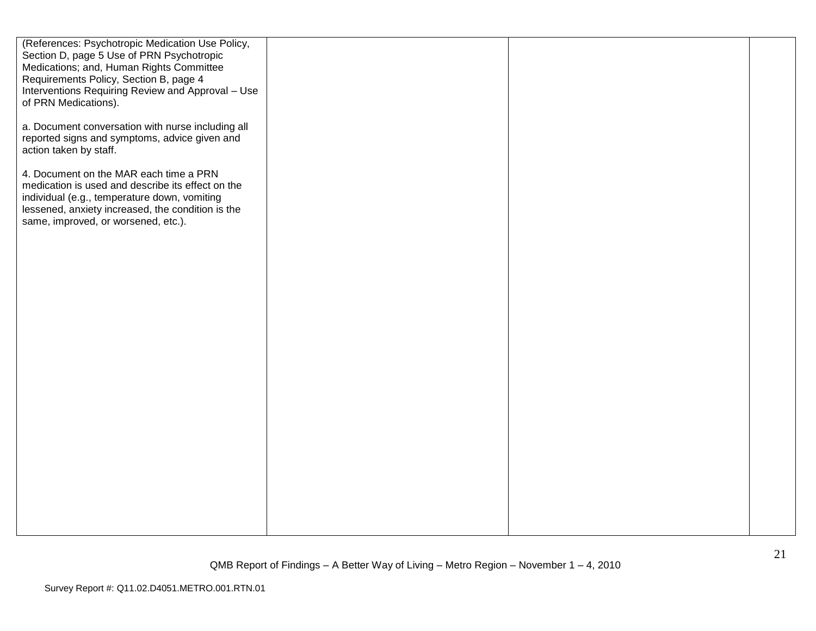| (References: Psychotropic Medication Use Policy,<br>Section D, page 5 Use of PRN Psychotropic<br>Medications; and, Human Rights Committee<br>Requirements Policy, Section B, page 4<br>Interventions Requiring Review and Approval - Use<br>of PRN Medications). |  |  |
|------------------------------------------------------------------------------------------------------------------------------------------------------------------------------------------------------------------------------------------------------------------|--|--|
| a. Document conversation with nurse including all<br>reported signs and symptoms, advice given and<br>action taken by staff.                                                                                                                                     |  |  |
| 4. Document on the MAR each time a PRN<br>medication is used and describe its effect on the<br>individual (e.g., temperature down, vomiting<br>lessened, anxiety increased, the condition is the<br>same, improved, or worsened, etc.).                          |  |  |
|                                                                                                                                                                                                                                                                  |  |  |
|                                                                                                                                                                                                                                                                  |  |  |
|                                                                                                                                                                                                                                                                  |  |  |
|                                                                                                                                                                                                                                                                  |  |  |
|                                                                                                                                                                                                                                                                  |  |  |
|                                                                                                                                                                                                                                                                  |  |  |
|                                                                                                                                                                                                                                                                  |  |  |
|                                                                                                                                                                                                                                                                  |  |  |
|                                                                                                                                                                                                                                                                  |  |  |
|                                                                                                                                                                                                                                                                  |  |  |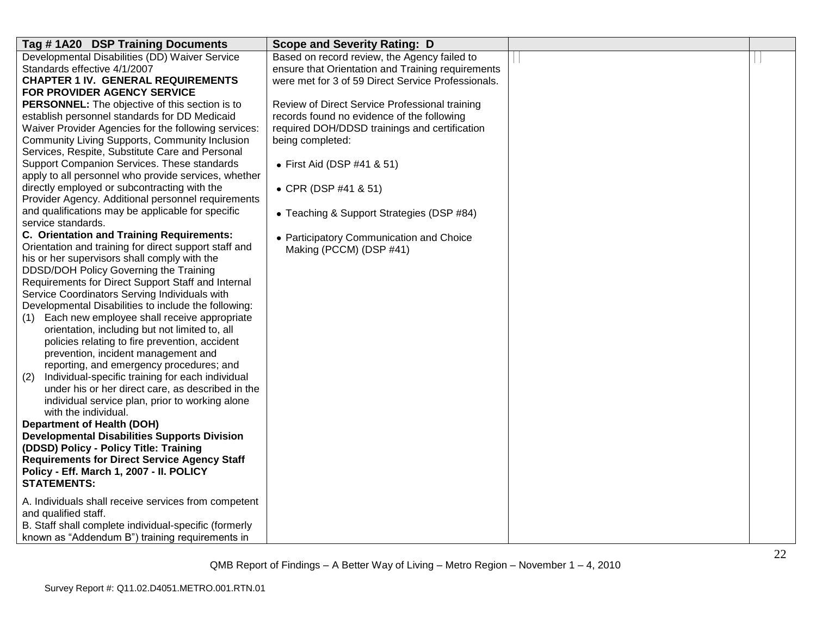| Tag #1A20 DSP Training Documents                                                                | <b>Scope and Severity Rating: D</b>                |  |
|-------------------------------------------------------------------------------------------------|----------------------------------------------------|--|
| Developmental Disabilities (DD) Waiver Service                                                  | Based on record review, the Agency failed to       |  |
| Standards effective 4/1/2007                                                                    | ensure that Orientation and Training requirements  |  |
| <b>CHAPTER 1 IV. GENERAL REQUIREMENTS</b>                                                       | were met for 3 of 59 Direct Service Professionals. |  |
| FOR PROVIDER AGENCY SERVICE                                                                     |                                                    |  |
| PERSONNEL: The objective of this section is to                                                  | Review of Direct Service Professional training     |  |
| establish personnel standards for DD Medicaid                                                   | records found no evidence of the following         |  |
| Waiver Provider Agencies for the following services:                                            | required DOH/DDSD trainings and certification      |  |
| Community Living Supports, Community Inclusion                                                  | being completed:                                   |  |
| Services, Respite, Substitute Care and Personal                                                 |                                                    |  |
| Support Companion Services. These standards                                                     | • First Aid (DSP #41 & 51)                         |  |
| apply to all personnel who provide services, whether                                            |                                                    |  |
| directly employed or subcontracting with the                                                    | • CPR (DSP #41 & 51)                               |  |
| Provider Agency. Additional personnel requirements                                              |                                                    |  |
| and qualifications may be applicable for specific                                               | • Teaching & Support Strategies (DSP #84)          |  |
| service standards.                                                                              |                                                    |  |
| C. Orientation and Training Requirements:                                                       | • Participatory Communication and Choice           |  |
| Orientation and training for direct support staff and                                           | Making (PCCM) (DSP #41)                            |  |
| his or her supervisors shall comply with the                                                    |                                                    |  |
| DDSD/DOH Policy Governing the Training                                                          |                                                    |  |
| Requirements for Direct Support Staff and Internal                                              |                                                    |  |
| Service Coordinators Serving Individuals with                                                   |                                                    |  |
| Developmental Disabilities to include the following:                                            |                                                    |  |
| Each new employee shall receive appropriate<br>(1)                                              |                                                    |  |
| orientation, including but not limited to, all                                                  |                                                    |  |
| policies relating to fire prevention, accident                                                  |                                                    |  |
| prevention, incident management and                                                             |                                                    |  |
| reporting, and emergency procedures; and                                                        |                                                    |  |
| Individual-specific training for each individual<br>(2)                                         |                                                    |  |
| under his or her direct care, as described in the                                               |                                                    |  |
| individual service plan, prior to working alone                                                 |                                                    |  |
| with the individual.                                                                            |                                                    |  |
| <b>Department of Health (DOH)</b>                                                               |                                                    |  |
| <b>Developmental Disabilities Supports Division</b>                                             |                                                    |  |
| (DDSD) Policy - Policy Title: Training                                                          |                                                    |  |
| <b>Requirements for Direct Service Agency Staff</b><br>Policy - Eff. March 1, 2007 - II. POLICY |                                                    |  |
| <b>STATEMENTS:</b>                                                                              |                                                    |  |
|                                                                                                 |                                                    |  |
| A. Individuals shall receive services from competent                                            |                                                    |  |
| and qualified staff.                                                                            |                                                    |  |
| B. Staff shall complete individual-specific (formerly                                           |                                                    |  |
| known as "Addendum B") training requirements in                                                 |                                                    |  |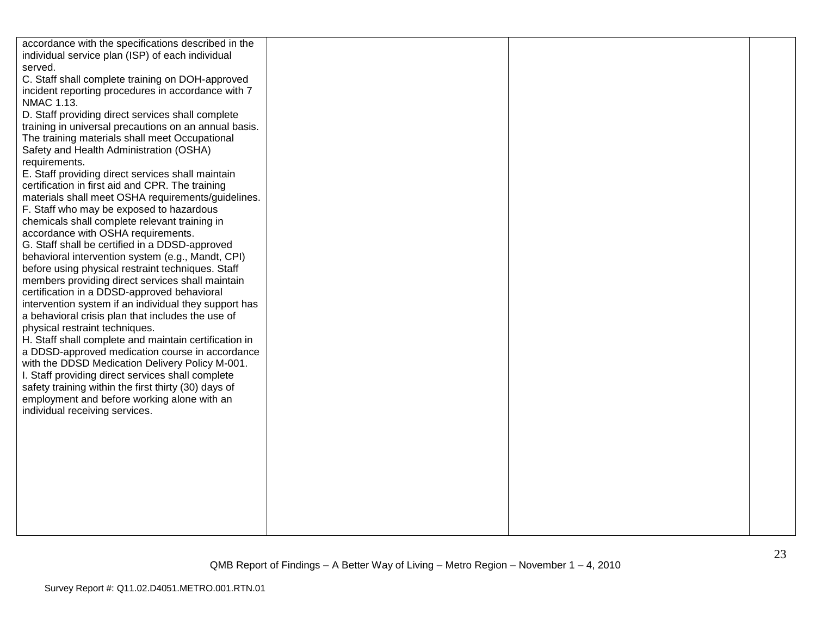| accordance with the specifications described in the   |  |  |
|-------------------------------------------------------|--|--|
| individual service plan (ISP) of each individual      |  |  |
| served.                                               |  |  |
| C. Staff shall complete training on DOH-approved      |  |  |
| incident reporting procedures in accordance with 7    |  |  |
| NMAC 1.13.                                            |  |  |
| D. Staff providing direct services shall complete     |  |  |
| training in universal precautions on an annual basis. |  |  |
| The training materials shall meet Occupational        |  |  |
| Safety and Health Administration (OSHA)               |  |  |
| requirements.                                         |  |  |
| E. Staff providing direct services shall maintain     |  |  |
| certification in first aid and CPR. The training      |  |  |
| materials shall meet OSHA requirements/guidelines.    |  |  |
| F. Staff who may be exposed to hazardous              |  |  |
| chemicals shall complete relevant training in         |  |  |
| accordance with OSHA requirements.                    |  |  |
| G. Staff shall be certified in a DDSD-approved        |  |  |
| behavioral intervention system (e.g., Mandt, CPI)     |  |  |
| before using physical restraint techniques. Staff     |  |  |
| members providing direct services shall maintain      |  |  |
| certification in a DDSD-approved behavioral           |  |  |
| intervention system if an individual they support has |  |  |
| a behavioral crisis plan that includes the use of     |  |  |
| physical restraint techniques.                        |  |  |
| H. Staff shall complete and maintain certification in |  |  |
| a DDSD-approved medication course in accordance       |  |  |
| with the DDSD Medication Delivery Policy M-001.       |  |  |
| I. Staff providing direct services shall complete     |  |  |
| safety training within the first thirty (30) days of  |  |  |
| employment and before working alone with an           |  |  |
| individual receiving services.                        |  |  |
|                                                       |  |  |
|                                                       |  |  |
|                                                       |  |  |
|                                                       |  |  |
|                                                       |  |  |
|                                                       |  |  |
|                                                       |  |  |
|                                                       |  |  |
|                                                       |  |  |
|                                                       |  |  |
|                                                       |  |  |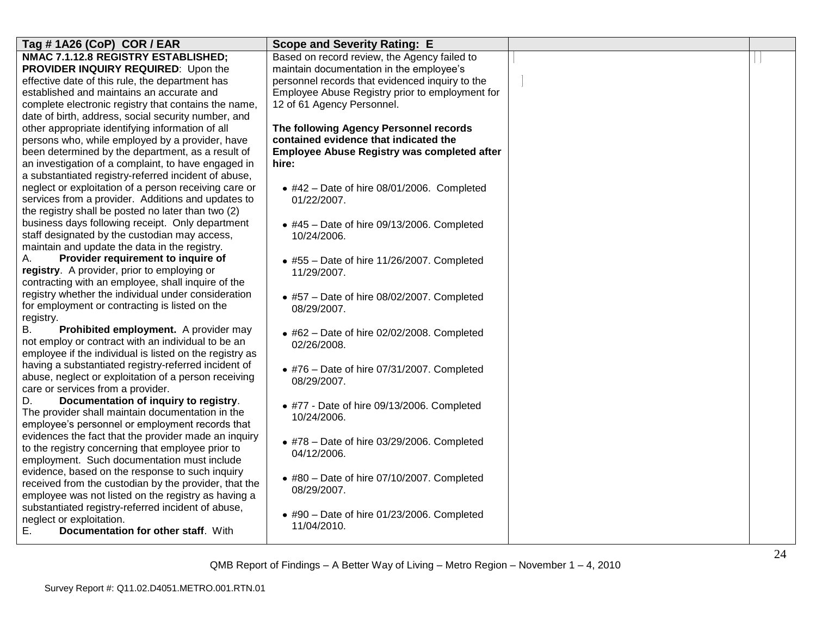| Tag #1A26 (CoP) COR / EAR                               | <b>Scope and Severity Rating: E</b>                         |  |
|---------------------------------------------------------|-------------------------------------------------------------|--|
| NMAC 7.1.12.8 REGISTRY ESTABLISHED;                     | Based on record review, the Agency failed to                |  |
| PROVIDER INQUIRY REQUIRED: Upon the                     | maintain documentation in the employee's                    |  |
| effective date of this rule, the department has         | personnel records that evidenced inquiry to the             |  |
| established and maintains an accurate and               | Employee Abuse Registry prior to employment for             |  |
| complete electronic registry that contains the name,    | 12 of 61 Agency Personnel.                                  |  |
| date of birth, address, social security number, and     |                                                             |  |
| other appropriate identifying information of all        | The following Agency Personnel records                      |  |
| persons who, while employed by a provider, have         | contained evidence that indicated the                       |  |
| been determined by the department, as a result of       | <b>Employee Abuse Registry was completed after</b>          |  |
| an investigation of a complaint, to have engaged in     | hire:                                                       |  |
| a substantiated registry-referred incident of abuse,    |                                                             |  |
| neglect or exploitation of a person receiving care or   | $\bullet$ #42 - Date of hire 08/01/2006. Completed          |  |
| services from a provider. Additions and updates to      | 01/22/2007.                                                 |  |
| the registry shall be posted no later than two (2)      |                                                             |  |
| business days following receipt. Only department        | $*$ #45 - Date of hire 09/13/2006. Completed                |  |
| staff designated by the custodian may access,           | 10/24/2006.                                                 |  |
| maintain and update the data in the registry.           |                                                             |  |
| А.<br>Provider requirement to inquire of                | $\bullet$ #55 - Date of hire 11/26/2007. Completed          |  |
| registry. A provider, prior to employing or             | 11/29/2007.                                                 |  |
| contracting with an employee, shall inquire of the      |                                                             |  |
| registry whether the individual under consideration     | $\bullet$ #57 - Date of hire 08/02/2007. Completed          |  |
| for employment or contracting is listed on the          | 08/29/2007.                                                 |  |
| registry.                                               |                                                             |  |
| <b>B.</b><br>Prohibited employment. A provider may      | $\bullet$ #62 - Date of hire 02/02/2008. Completed          |  |
| not employ or contract with an individual to be an      | 02/26/2008.                                                 |  |
| employee if the individual is listed on the registry as |                                                             |  |
| having a substantiated registry-referred incident of    | $\bullet$ #76 - Date of hire 07/31/2007. Completed          |  |
| abuse, neglect or exploitation of a person receiving    | 08/29/2007.                                                 |  |
| care or services from a provider.                       |                                                             |  |
| Documentation of inquiry to registry.<br>D.             | • #77 - Date of hire 09/13/2006. Completed                  |  |
| The provider shall maintain documentation in the        | 10/24/2006.                                                 |  |
| employee's personnel or employment records that         |                                                             |  |
| evidences the fact that the provider made an inquiry    | $*$ #78 - Date of hire 03/29/2006. Completed                |  |
| to the registry concerning that employee prior to       | 04/12/2006.                                                 |  |
| employment. Such documentation must include             |                                                             |  |
| evidence, based on the response to such inquiry         |                                                             |  |
| received from the custodian by the provider, that the   | $*$ #80 - Date of hire 07/10/2007. Completed<br>08/29/2007. |  |
| employee was not listed on the registry as having a     |                                                             |  |
| substantiated registry-referred incident of abuse,      |                                                             |  |
| neglect or exploitation.                                | $\bullet$ #90 - Date of hire 01/23/2006. Completed          |  |
| E.<br>Documentation for other staff. With               | 11/04/2010.                                                 |  |
|                                                         |                                                             |  |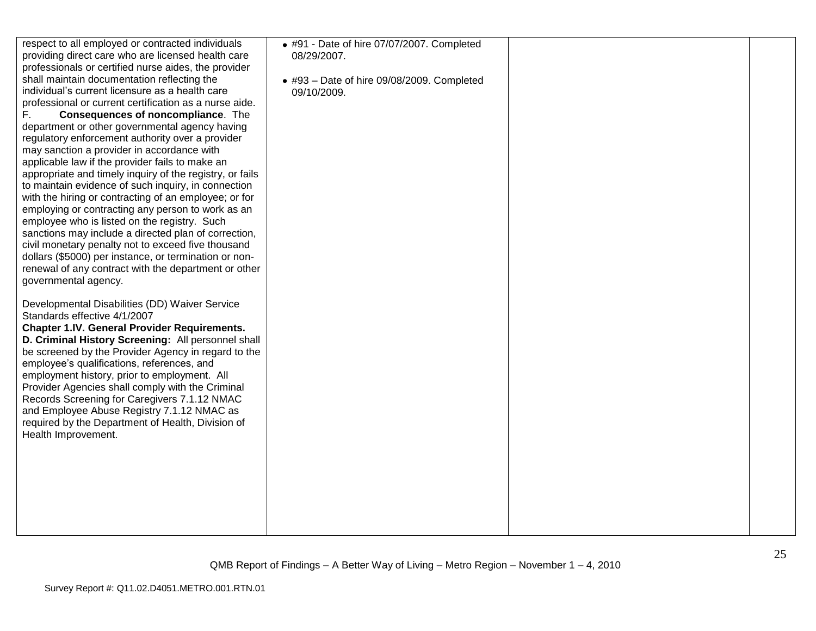| respect to all employed or contracted individuals<br>providing direct care who are licensed health care<br>professionals or certified nurse aides, the provider<br>shall maintain documentation reflecting the<br>individual's current licensure as a health care<br>professional or current certification as a nurse aide.<br><b>Consequences of noncompliance.</b> The<br>F.<br>department or other governmental agency having<br>regulatory enforcement authority over a provider<br>may sanction a provider in accordance with<br>applicable law if the provider fails to make an<br>appropriate and timely inquiry of the registry, or fails<br>to maintain evidence of such inquiry, in connection<br>with the hiring or contracting of an employee; or for<br>employing or contracting any person to work as an<br>employee who is listed on the registry. Such<br>sanctions may include a directed plan of correction,<br>civil monetary penalty not to exceed five thousand<br>dollars (\$5000) per instance, or termination or non-<br>renewal of any contract with the department or other<br>governmental agency.<br>Developmental Disabilities (DD) Waiver Service | • #91 - Date of hire 07/07/2007. Completed<br>08/29/2007.<br>$\bullet$ #93 - Date of hire 09/08/2009. Completed<br>09/10/2009. |  |
|---------------------------------------------------------------------------------------------------------------------------------------------------------------------------------------------------------------------------------------------------------------------------------------------------------------------------------------------------------------------------------------------------------------------------------------------------------------------------------------------------------------------------------------------------------------------------------------------------------------------------------------------------------------------------------------------------------------------------------------------------------------------------------------------------------------------------------------------------------------------------------------------------------------------------------------------------------------------------------------------------------------------------------------------------------------------------------------------------------------------------------------------------------------------------------|--------------------------------------------------------------------------------------------------------------------------------|--|
| Standards effective 4/1/2007<br><b>Chapter 1.IV. General Provider Requirements.</b><br>D. Criminal History Screening: All personnel shall<br>be screened by the Provider Agency in regard to the<br>employee's qualifications, references, and<br>employment history, prior to employment. All<br>Provider Agencies shall comply with the Criminal<br>Records Screening for Caregivers 7.1.12 NMAC<br>and Employee Abuse Registry 7.1.12 NMAC as<br>required by the Department of Health, Division of<br>Health Improvement.                                                                                                                                                                                                                                                                                                                                                                                                                                                                                                                                                                                                                                                    |                                                                                                                                |  |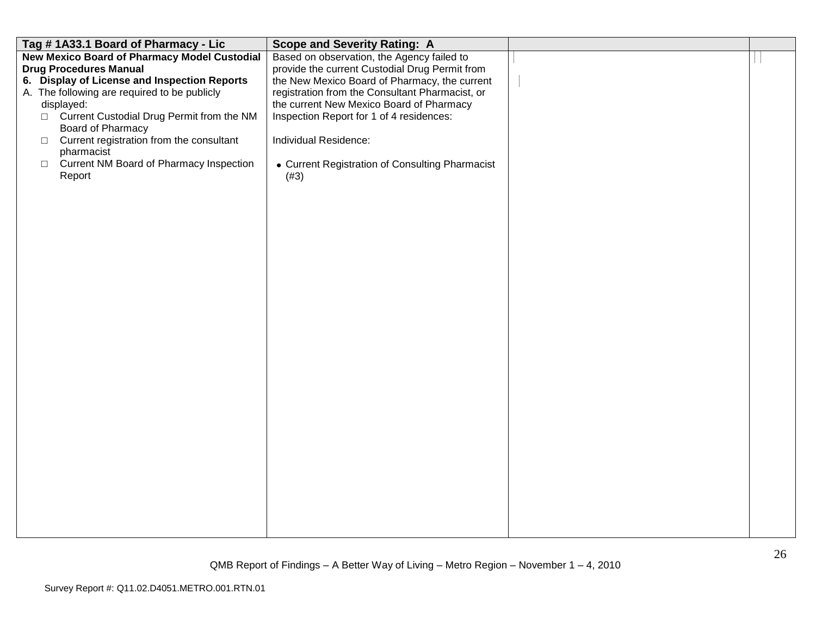| Tag #1A33.1 Board of Pharmacy - Lic                 | <b>Scope and Severity Rating: A</b>             |  |
|-----------------------------------------------------|-------------------------------------------------|--|
| <b>New Mexico Board of Pharmacy Model Custodial</b> | Based on observation, the Agency failed to      |  |
| <b>Drug Procedures Manual</b>                       | provide the current Custodial Drug Permit from  |  |
| 6. Display of License and Inspection Reports        | the New Mexico Board of Pharmacy, the current   |  |
| A. The following are required to be publicly        | registration from the Consultant Pharmacist, or |  |
| displayed:                                          | the current New Mexico Board of Pharmacy        |  |
| □ Current Custodial Drug Permit from the NM         | Inspection Report for 1 of 4 residences:        |  |
| Board of Pharmacy                                   |                                                 |  |
| Current registration from the consultant<br>$\Box$  | Individual Residence:                           |  |
| pharmacist                                          |                                                 |  |
| Current NM Board of Pharmacy Inspection<br>$\Box$   | • Current Registration of Consulting Pharmacist |  |
| Report                                              | (#3)                                            |  |
|                                                     |                                                 |  |
|                                                     |                                                 |  |
|                                                     |                                                 |  |
|                                                     |                                                 |  |
|                                                     |                                                 |  |
|                                                     |                                                 |  |
|                                                     |                                                 |  |
|                                                     |                                                 |  |
|                                                     |                                                 |  |
|                                                     |                                                 |  |
|                                                     |                                                 |  |
|                                                     |                                                 |  |
|                                                     |                                                 |  |
|                                                     |                                                 |  |
|                                                     |                                                 |  |
|                                                     |                                                 |  |
|                                                     |                                                 |  |
|                                                     |                                                 |  |
|                                                     |                                                 |  |
|                                                     |                                                 |  |
|                                                     |                                                 |  |
|                                                     |                                                 |  |
|                                                     |                                                 |  |
|                                                     |                                                 |  |
|                                                     |                                                 |  |
|                                                     |                                                 |  |
|                                                     |                                                 |  |
|                                                     |                                                 |  |
|                                                     |                                                 |  |
|                                                     |                                                 |  |
|                                                     |                                                 |  |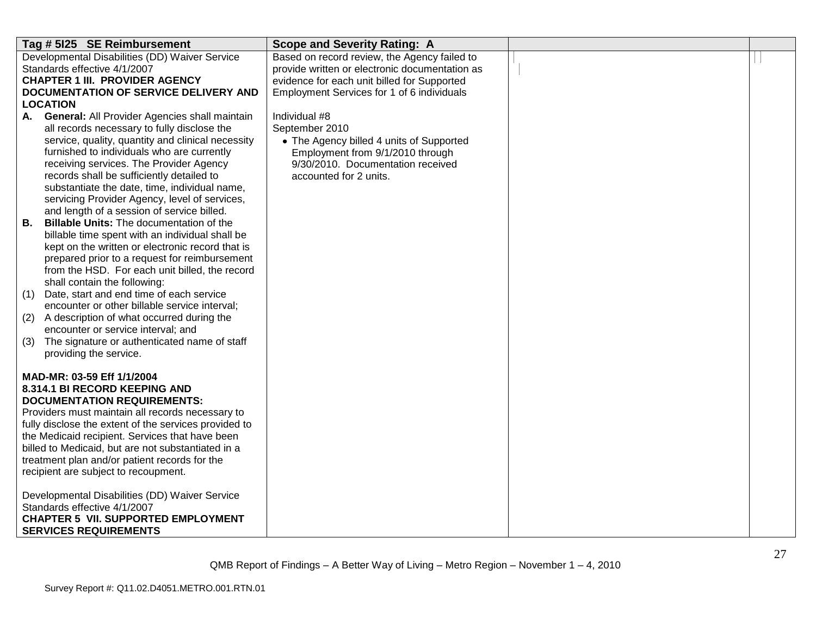| Tag # 5125 SE Reimbursement                                                                 | <b>Scope and Severity Rating: A</b>            |  |
|---------------------------------------------------------------------------------------------|------------------------------------------------|--|
| Developmental Disabilities (DD) Waiver Service                                              | Based on record review, the Agency failed to   |  |
| Standards effective 4/1/2007                                                                | provide written or electronic documentation as |  |
| <b>CHAPTER 1 III. PROVIDER AGENCY</b>                                                       | evidence for each unit billed for Supported    |  |
| DOCUMENTATION OF SERVICE DELIVERY AND                                                       | Employment Services for 1 of 6 individuals     |  |
| <b>LOCATION</b>                                                                             |                                                |  |
| <b>General: All Provider Agencies shall maintain</b><br>А.                                  | Individual #8                                  |  |
| all records necessary to fully disclose the                                                 | September 2010                                 |  |
| service, quality, quantity and clinical necessity                                           | • The Agency billed 4 units of Supported       |  |
| furnished to individuals who are currently                                                  | Employment from 9/1/2010 through               |  |
| receiving services. The Provider Agency                                                     | 9/30/2010. Documentation received              |  |
| records shall be sufficiently detailed to                                                   | accounted for 2 units.                         |  |
| substantiate the date, time, individual name,                                               |                                                |  |
| servicing Provider Agency, level of services,<br>and length of a session of service billed. |                                                |  |
| <b>Billable Units: The documentation of the</b><br>В.                                       |                                                |  |
| billable time spent with an individual shall be                                             |                                                |  |
| kept on the written or electronic record that is                                            |                                                |  |
| prepared prior to a request for reimbursement                                               |                                                |  |
| from the HSD. For each unit billed, the record                                              |                                                |  |
| shall contain the following:                                                                |                                                |  |
| Date, start and end time of each service<br>(1)                                             |                                                |  |
| encounter or other billable service interval;                                               |                                                |  |
| A description of what occurred during the<br>(2)                                            |                                                |  |
| encounter or service interval; and                                                          |                                                |  |
| The signature or authenticated name of staff<br>(3)                                         |                                                |  |
| providing the service.                                                                      |                                                |  |
|                                                                                             |                                                |  |
| MAD-MR: 03-59 Eff 1/1/2004                                                                  |                                                |  |
| 8.314.1 BI RECORD KEEPING AND<br><b>DOCUMENTATION REQUIREMENTS:</b>                         |                                                |  |
| Providers must maintain all records necessary to                                            |                                                |  |
| fully disclose the extent of the services provided to                                       |                                                |  |
| the Medicaid recipient. Services that have been                                             |                                                |  |
| billed to Medicaid, but are not substantiated in a                                          |                                                |  |
| treatment plan and/or patient records for the                                               |                                                |  |
| recipient are subject to recoupment.                                                        |                                                |  |
|                                                                                             |                                                |  |
| Developmental Disabilities (DD) Waiver Service                                              |                                                |  |
| Standards effective 4/1/2007                                                                |                                                |  |
| <b>CHAPTER 5 VII. SUPPORTED EMPLOYMENT</b>                                                  |                                                |  |
| <b>SERVICES REQUIREMENTS</b>                                                                |                                                |  |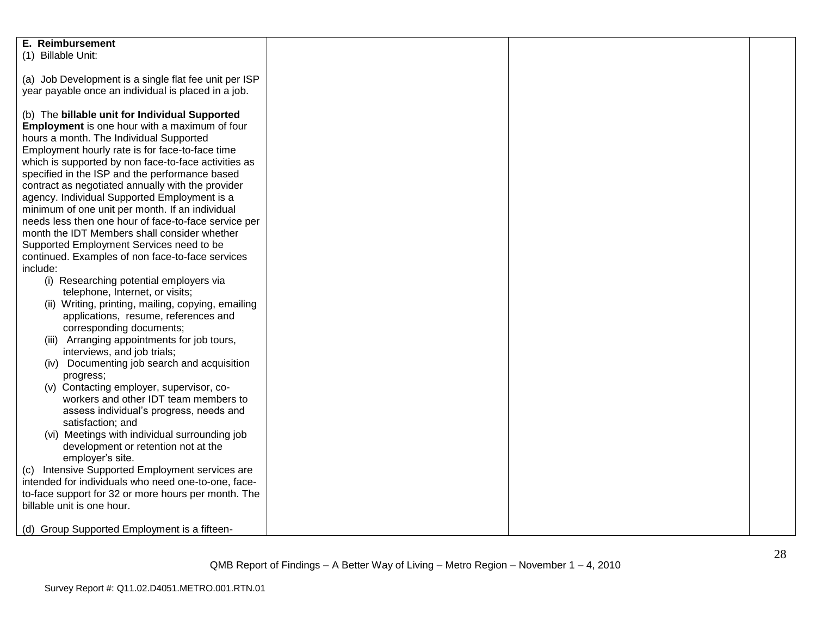| E. Reimbursement                                      |  |  |
|-------------------------------------------------------|--|--|
| (1) Billable Unit:                                    |  |  |
|                                                       |  |  |
| (a) Job Development is a single flat fee unit per ISP |  |  |
|                                                       |  |  |
| year payable once an individual is placed in a job.   |  |  |
|                                                       |  |  |
| (b) The billable unit for Individual Supported        |  |  |
| Employment is one hour with a maximum of four         |  |  |
| hours a month. The Individual Supported               |  |  |
| Employment hourly rate is for face-to-face time       |  |  |
| which is supported by non face-to-face activities as  |  |  |
| specified in the ISP and the performance based        |  |  |
| contract as negotiated annually with the provider     |  |  |
| agency. Individual Supported Employment is a          |  |  |
| minimum of one unit per month. If an individual       |  |  |
|                                                       |  |  |
| needs less then one hour of face-to-face service per  |  |  |
| month the IDT Members shall consider whether          |  |  |
| Supported Employment Services need to be              |  |  |
| continued. Examples of non face-to-face services      |  |  |
| include:                                              |  |  |
| (i) Researching potential employers via               |  |  |
| telephone, Internet, or visits;                       |  |  |
| (ii) Writing, printing, mailing, copying, emailing    |  |  |
| applications, resume, references and                  |  |  |
| corresponding documents;                              |  |  |
| (iii) Arranging appointments for job tours,           |  |  |
| interviews, and job trials;                           |  |  |
| (iv) Documenting job search and acquisition           |  |  |
|                                                       |  |  |
| progress;                                             |  |  |
| (v) Contacting employer, supervisor, co-              |  |  |
| workers and other IDT team members to                 |  |  |
| assess individual's progress, needs and               |  |  |
| satisfaction; and                                     |  |  |
| (vi) Meetings with individual surrounding job         |  |  |
| development or retention not at the                   |  |  |
| employer's site.                                      |  |  |
| (c) Intensive Supported Employment services are       |  |  |
| intended for individuals who need one-to-one, face-   |  |  |
| to-face support for 32 or more hours per month. The   |  |  |
| billable unit is one hour.                            |  |  |
|                                                       |  |  |
| (d) Group Supported Employment is a fifteen-          |  |  |
|                                                       |  |  |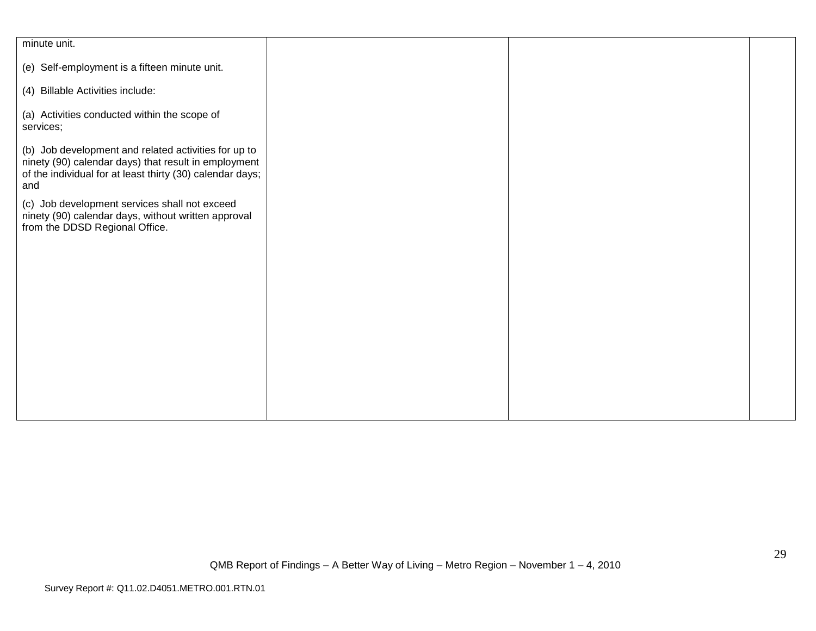| minute unit.                                              |  |  |
|-----------------------------------------------------------|--|--|
|                                                           |  |  |
| (e) Self-employment is a fifteen minute unit.             |  |  |
|                                                           |  |  |
| (4) Billable Activities include:                          |  |  |
|                                                           |  |  |
| (a) Activities conducted within the scope of              |  |  |
| services;                                                 |  |  |
|                                                           |  |  |
|                                                           |  |  |
| (b) Job development and related activities for up to      |  |  |
| ninety (90) calendar days) that result in employment      |  |  |
| of the individual for at least thirty (30) calendar days; |  |  |
| and                                                       |  |  |
| (c) Job development services shall not exceed             |  |  |
| ninety (90) calendar days, without written approval       |  |  |
|                                                           |  |  |
| from the DDSD Regional Office.                            |  |  |
|                                                           |  |  |
|                                                           |  |  |
|                                                           |  |  |
|                                                           |  |  |
|                                                           |  |  |
|                                                           |  |  |
|                                                           |  |  |
|                                                           |  |  |
|                                                           |  |  |
|                                                           |  |  |
|                                                           |  |  |
|                                                           |  |  |
|                                                           |  |  |
|                                                           |  |  |
|                                                           |  |  |
|                                                           |  |  |
|                                                           |  |  |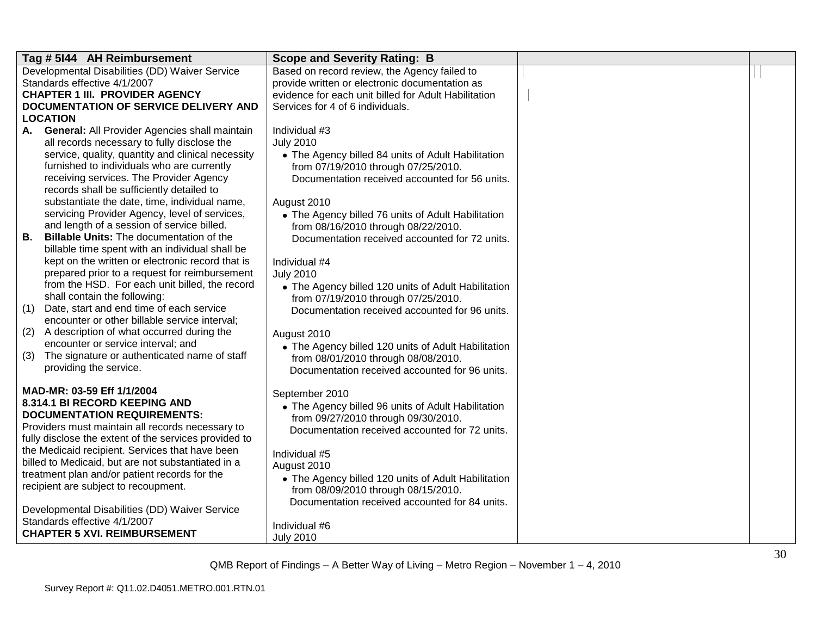| Tag # 5144 AH Reimbursement                                                                | <b>Scope and Severity Rating: B</b>                                                       |  |
|--------------------------------------------------------------------------------------------|-------------------------------------------------------------------------------------------|--|
| Developmental Disabilities (DD) Waiver Service                                             | Based on record review, the Agency failed to                                              |  |
| Standards effective 4/1/2007                                                               | provide written or electronic documentation as                                            |  |
| <b>CHAPTER 1 III. PROVIDER AGENCY</b>                                                      | evidence for each unit billed for Adult Habilitation                                      |  |
| DOCUMENTATION OF SERVICE DELIVERY AND                                                      | Services for 4 of 6 individuals.                                                          |  |
| <b>LOCATION</b>                                                                            |                                                                                           |  |
| A. General: All Provider Agencies shall maintain                                           | Individual #3                                                                             |  |
| all records necessary to fully disclose the                                                | <b>July 2010</b>                                                                          |  |
| service, quality, quantity and clinical necessity                                          | • The Agency billed 84 units of Adult Habilitation                                        |  |
| furnished to individuals who are currently                                                 | from 07/19/2010 through 07/25/2010.                                                       |  |
| receiving services. The Provider Agency                                                    | Documentation received accounted for 56 units.                                            |  |
| records shall be sufficiently detailed to<br>substantiate the date, time, individual name, |                                                                                           |  |
| servicing Provider Agency, level of services,                                              | August 2010                                                                               |  |
| and length of a session of service billed.                                                 | • The Agency billed 76 units of Adult Habilitation<br>from 08/16/2010 through 08/22/2010. |  |
| <b>Billable Units: The documentation of the</b><br>В.                                      | Documentation received accounted for 72 units.                                            |  |
| billable time spent with an individual shall be                                            |                                                                                           |  |
| kept on the written or electronic record that is                                           | Individual #4                                                                             |  |
| prepared prior to a request for reimbursement                                              | <b>July 2010</b>                                                                          |  |
| from the HSD. For each unit billed, the record                                             | • The Agency billed 120 units of Adult Habilitation                                       |  |
| shall contain the following:                                                               | from 07/19/2010 through 07/25/2010.                                                       |  |
| Date, start and end time of each service<br>(1)                                            | Documentation received accounted for 96 units.                                            |  |
| encounter or other billable service interval;                                              |                                                                                           |  |
| A description of what occurred during the<br>(2)                                           | August 2010                                                                               |  |
| encounter or service interval; and                                                         | • The Agency billed 120 units of Adult Habilitation                                       |  |
| The signature or authenticated name of staff<br>(3)                                        | from 08/01/2010 through 08/08/2010.                                                       |  |
| providing the service.                                                                     | Documentation received accounted for 96 units.                                            |  |
| MAD-MR: 03-59 Eff 1/1/2004                                                                 |                                                                                           |  |
| 8.314.1 BI RECORD KEEPING AND                                                              | September 2010                                                                            |  |
| <b>DOCUMENTATION REQUIREMENTS:</b>                                                         | • The Agency billed 96 units of Adult Habilitation                                        |  |
| Providers must maintain all records necessary to                                           | from 09/27/2010 through 09/30/2010.<br>Documentation received accounted for 72 units.     |  |
| fully disclose the extent of the services provided to                                      |                                                                                           |  |
| the Medicaid recipient. Services that have been                                            | Individual #5                                                                             |  |
| billed to Medicaid, but are not substantiated in a                                         | August 2010                                                                               |  |
| treatment plan and/or patient records for the                                              | • The Agency billed 120 units of Adult Habilitation                                       |  |
| recipient are subject to recoupment.                                                       | from 08/09/2010 through 08/15/2010.                                                       |  |
|                                                                                            | Documentation received accounted for 84 units.                                            |  |
| Developmental Disabilities (DD) Waiver Service                                             |                                                                                           |  |
| Standards effective 4/1/2007                                                               | Individual #6                                                                             |  |
| <b>CHAPTER 5 XVI. REIMBURSEMENT</b>                                                        | <b>July 2010</b>                                                                          |  |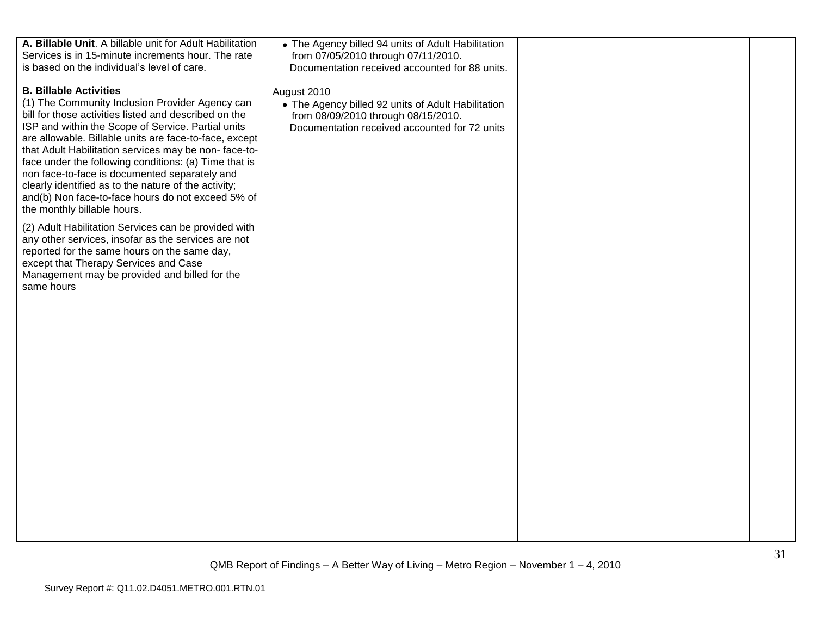| A. Billable Unit. A billable unit for Adult Habilitation<br>Services is in 15-minute increments hour. The rate<br>is based on the individual's level of care.                                                                                                                                                                                                                                                                                                                                                                                                           | • The Agency billed 94 units of Adult Habilitation<br>from 07/05/2010 through 07/11/2010.<br>Documentation received accounted for 88 units.               |  |
|-------------------------------------------------------------------------------------------------------------------------------------------------------------------------------------------------------------------------------------------------------------------------------------------------------------------------------------------------------------------------------------------------------------------------------------------------------------------------------------------------------------------------------------------------------------------------|-----------------------------------------------------------------------------------------------------------------------------------------------------------|--|
| <b>B. Billable Activities</b><br>(1) The Community Inclusion Provider Agency can<br>bill for those activities listed and described on the<br>ISP and within the Scope of Service. Partial units<br>are allowable. Billable units are face-to-face, except<br>that Adult Habilitation services may be non-face-to-<br>face under the following conditions: (a) Time that is<br>non face-to-face is documented separately and<br>clearly identified as to the nature of the activity;<br>and(b) Non face-to-face hours do not exceed 5% of<br>the monthly billable hours. | August 2010<br>• The Agency billed 92 units of Adult Habilitation<br>from 08/09/2010 through 08/15/2010.<br>Documentation received accounted for 72 units |  |
| (2) Adult Habilitation Services can be provided with<br>any other services, insofar as the services are not<br>reported for the same hours on the same day,<br>except that Therapy Services and Case<br>Management may be provided and billed for the<br>same hours                                                                                                                                                                                                                                                                                                     |                                                                                                                                                           |  |
|                                                                                                                                                                                                                                                                                                                                                                                                                                                                                                                                                                         |                                                                                                                                                           |  |
|                                                                                                                                                                                                                                                                                                                                                                                                                                                                                                                                                                         |                                                                                                                                                           |  |
|                                                                                                                                                                                                                                                                                                                                                                                                                                                                                                                                                                         |                                                                                                                                                           |  |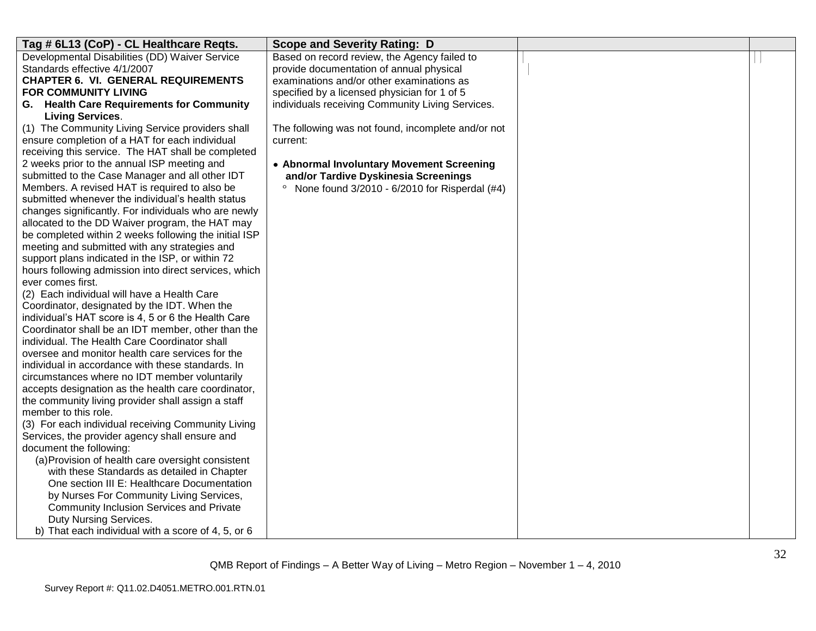| Tag # 6L13 (CoP) - CL Healthcare Regts.                                                                        | <b>Scope and Severity Rating: D</b>                      |  |
|----------------------------------------------------------------------------------------------------------------|----------------------------------------------------------|--|
| Developmental Disabilities (DD) Waiver Service                                                                 | Based on record review, the Agency failed to             |  |
| Standards effective 4/1/2007                                                                                   | provide documentation of annual physical                 |  |
| <b>CHAPTER 6. VI. GENERAL REQUIREMENTS</b>                                                                     | examinations and/or other examinations as                |  |
| <b>FOR COMMUNITY LIVING</b>                                                                                    | specified by a licensed physician for 1 of 5             |  |
| G. Health Care Requirements for Community                                                                      | individuals receiving Community Living Services.         |  |
| <b>Living Services.</b>                                                                                        |                                                          |  |
| (1) The Community Living Service providers shall                                                               | The following was not found, incomplete and/or not       |  |
| ensure completion of a HAT for each individual                                                                 | current:                                                 |  |
| receiving this service. The HAT shall be completed                                                             |                                                          |  |
| 2 weeks prior to the annual ISP meeting and                                                                    | • Abnormal Involuntary Movement Screening                |  |
| submitted to the Case Manager and all other IDT                                                                | and/or Tardive Dyskinesia Screenings                     |  |
| Members. A revised HAT is required to also be                                                                  | None found 3/2010 - 6/2010 for Risperdal (#4)<br>$\circ$ |  |
| submitted whenever the individual's health status                                                              |                                                          |  |
| changes significantly. For individuals who are newly                                                           |                                                          |  |
| allocated to the DD Waiver program, the HAT may                                                                |                                                          |  |
| be completed within 2 weeks following the initial ISP                                                          |                                                          |  |
| meeting and submitted with any strategies and                                                                  |                                                          |  |
| support plans indicated in the ISP, or within 72                                                               |                                                          |  |
| hours following admission into direct services, which                                                          |                                                          |  |
| ever comes first.                                                                                              |                                                          |  |
| (2) Each individual will have a Health Care                                                                    |                                                          |  |
| Coordinator, designated by the IDT. When the                                                                   |                                                          |  |
| individual's HAT score is 4, 5 or 6 the Health Care                                                            |                                                          |  |
| Coordinator shall be an IDT member, other than the<br>individual. The Health Care Coordinator shall            |                                                          |  |
|                                                                                                                |                                                          |  |
| oversee and monitor health care services for the                                                               |                                                          |  |
| individual in accordance with these standards. In                                                              |                                                          |  |
| circumstances where no IDT member voluntarily                                                                  |                                                          |  |
| accepts designation as the health care coordinator,                                                            |                                                          |  |
| the community living provider shall assign a staff<br>member to this role.                                     |                                                          |  |
| (3) For each individual receiving Community Living                                                             |                                                          |  |
| Services, the provider agency shall ensure and                                                                 |                                                          |  |
| document the following:                                                                                        |                                                          |  |
| (a) Provision of health care oversight consistent                                                              |                                                          |  |
| with these Standards as detailed in Chapter                                                                    |                                                          |  |
| One section III E: Healthcare Documentation                                                                    |                                                          |  |
|                                                                                                                |                                                          |  |
|                                                                                                                |                                                          |  |
|                                                                                                                |                                                          |  |
| b) That each individual with a score of 4, 5, or 6                                                             |                                                          |  |
| by Nurses For Community Living Services,<br>Community Inclusion Services and Private<br>Duty Nursing Services. |                                                          |  |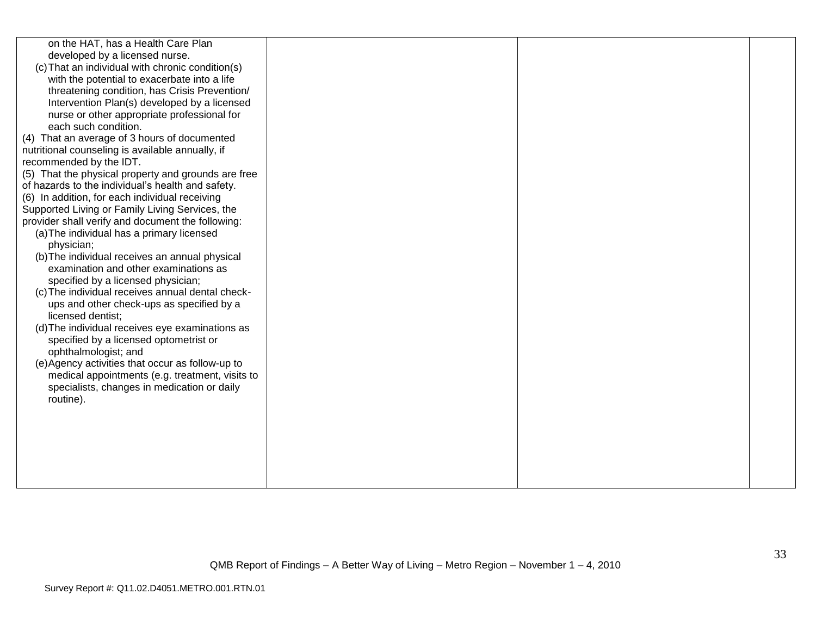| on the HAT, has a Health Care Plan<br>developed by a licensed nurse.<br>(c) That an individual with chronic condition(s)<br>with the potential to exacerbate into a life<br>threatening condition, has Crisis Prevention/<br>Intervention Plan(s) developed by a licensed<br>nurse or other appropriate professional for<br>each such condition.<br>(4) That an average of 3 hours of documented<br>nutritional counseling is available annually, if<br>recommended by the IDT.<br>(5) That the physical property and grounds are free<br>of hazards to the individual's health and safety.<br>(6) In addition, for each individual receiving<br>Supported Living or Family Living Services, the<br>provider shall verify and document the following:<br>(a) The individual has a primary licensed<br>physician;<br>(b) The individual receives an annual physical<br>examination and other examinations as<br>specified by a licensed physician;<br>(c) The individual receives annual dental check-<br>ups and other check-ups as specified by a<br>licensed dentist;<br>(d) The individual receives eye examinations as<br>specified by a licensed optometrist or |  |  |
|----------------------------------------------------------------------------------------------------------------------------------------------------------------------------------------------------------------------------------------------------------------------------------------------------------------------------------------------------------------------------------------------------------------------------------------------------------------------------------------------------------------------------------------------------------------------------------------------------------------------------------------------------------------------------------------------------------------------------------------------------------------------------------------------------------------------------------------------------------------------------------------------------------------------------------------------------------------------------------------------------------------------------------------------------------------------------------------------------------------------------------------------------------------------|--|--|
|                                                                                                                                                                                                                                                                                                                                                                                                                                                                                                                                                                                                                                                                                                                                                                                                                                                                                                                                                                                                                                                                                                                                                                      |  |  |
|                                                                                                                                                                                                                                                                                                                                                                                                                                                                                                                                                                                                                                                                                                                                                                                                                                                                                                                                                                                                                                                                                                                                                                      |  |  |
|                                                                                                                                                                                                                                                                                                                                                                                                                                                                                                                                                                                                                                                                                                                                                                                                                                                                                                                                                                                                                                                                                                                                                                      |  |  |
|                                                                                                                                                                                                                                                                                                                                                                                                                                                                                                                                                                                                                                                                                                                                                                                                                                                                                                                                                                                                                                                                                                                                                                      |  |  |
|                                                                                                                                                                                                                                                                                                                                                                                                                                                                                                                                                                                                                                                                                                                                                                                                                                                                                                                                                                                                                                                                                                                                                                      |  |  |
|                                                                                                                                                                                                                                                                                                                                                                                                                                                                                                                                                                                                                                                                                                                                                                                                                                                                                                                                                                                                                                                                                                                                                                      |  |  |
|                                                                                                                                                                                                                                                                                                                                                                                                                                                                                                                                                                                                                                                                                                                                                                                                                                                                                                                                                                                                                                                                                                                                                                      |  |  |
|                                                                                                                                                                                                                                                                                                                                                                                                                                                                                                                                                                                                                                                                                                                                                                                                                                                                                                                                                                                                                                                                                                                                                                      |  |  |
|                                                                                                                                                                                                                                                                                                                                                                                                                                                                                                                                                                                                                                                                                                                                                                                                                                                                                                                                                                                                                                                                                                                                                                      |  |  |
|                                                                                                                                                                                                                                                                                                                                                                                                                                                                                                                                                                                                                                                                                                                                                                                                                                                                                                                                                                                                                                                                                                                                                                      |  |  |
|                                                                                                                                                                                                                                                                                                                                                                                                                                                                                                                                                                                                                                                                                                                                                                                                                                                                                                                                                                                                                                                                                                                                                                      |  |  |
|                                                                                                                                                                                                                                                                                                                                                                                                                                                                                                                                                                                                                                                                                                                                                                                                                                                                                                                                                                                                                                                                                                                                                                      |  |  |
|                                                                                                                                                                                                                                                                                                                                                                                                                                                                                                                                                                                                                                                                                                                                                                                                                                                                                                                                                                                                                                                                                                                                                                      |  |  |
| ophthalmologist; and                                                                                                                                                                                                                                                                                                                                                                                                                                                                                                                                                                                                                                                                                                                                                                                                                                                                                                                                                                                                                                                                                                                                                 |  |  |
| (e) Agency activities that occur as follow-up to<br>medical appointments (e.g. treatment, visits to                                                                                                                                                                                                                                                                                                                                                                                                                                                                                                                                                                                                                                                                                                                                                                                                                                                                                                                                                                                                                                                                  |  |  |
| specialists, changes in medication or daily                                                                                                                                                                                                                                                                                                                                                                                                                                                                                                                                                                                                                                                                                                                                                                                                                                                                                                                                                                                                                                                                                                                          |  |  |
| routine).                                                                                                                                                                                                                                                                                                                                                                                                                                                                                                                                                                                                                                                                                                                                                                                                                                                                                                                                                                                                                                                                                                                                                            |  |  |
|                                                                                                                                                                                                                                                                                                                                                                                                                                                                                                                                                                                                                                                                                                                                                                                                                                                                                                                                                                                                                                                                                                                                                                      |  |  |
|                                                                                                                                                                                                                                                                                                                                                                                                                                                                                                                                                                                                                                                                                                                                                                                                                                                                                                                                                                                                                                                                                                                                                                      |  |  |
|                                                                                                                                                                                                                                                                                                                                                                                                                                                                                                                                                                                                                                                                                                                                                                                                                                                                                                                                                                                                                                                                                                                                                                      |  |  |
|                                                                                                                                                                                                                                                                                                                                                                                                                                                                                                                                                                                                                                                                                                                                                                                                                                                                                                                                                                                                                                                                                                                                                                      |  |  |
|                                                                                                                                                                                                                                                                                                                                                                                                                                                                                                                                                                                                                                                                                                                                                                                                                                                                                                                                                                                                                                                                                                                                                                      |  |  |
|                                                                                                                                                                                                                                                                                                                                                                                                                                                                                                                                                                                                                                                                                                                                                                                                                                                                                                                                                                                                                                                                                                                                                                      |  |  |
|                                                                                                                                                                                                                                                                                                                                                                                                                                                                                                                                                                                                                                                                                                                                                                                                                                                                                                                                                                                                                                                                                                                                                                      |  |  |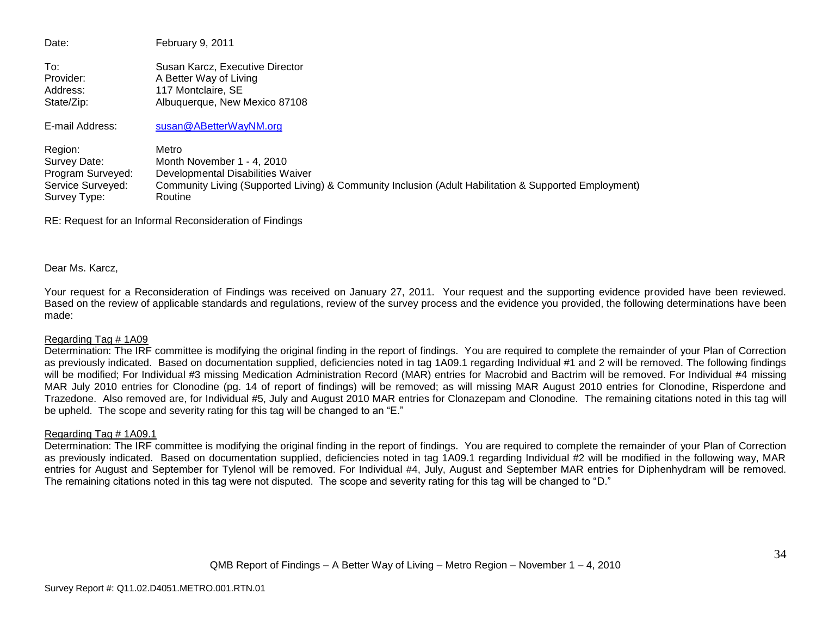Date: February 9, 2011 To: Susan Karcz, Executive Director Provider: A Better Way of Living Address: 117 Montclaire, SE State/Zip: Albuquerque, New Mexico 87108 E-mail Address: [susan@ABetterWayNM.org](mailto:susan@ABetterWayNM.org) Region: Metro Survey Date: Month November 1 - 4, 2010 Program Surveyed: Developmental Disabilities Waiver Service Surveyed: Community Living (Supported Living) & Community Inclusion (Adult Habilitation & Supported Employment) Survey Type: Routine

RE: Request for an Informal Reconsideration of Findings

Dear Ms. Karcz,

Your request for a Reconsideration of Findings was received on January 27, 2011. Your request and the supporting evidence provided have been reviewed. Based on the review of applicable standards and regulations, review of the survey process and the evidence you provided, the following determinations have been made:

#### Regarding Tag # 1A09

Determination: The IRF committee is modifying the original finding in the report of findings. You are required to complete the remainder of your Plan of Correction as previously indicated. Based on documentation supplied, deficiencies noted in tag 1A09.1 regarding Individual #1 and 2 will be removed. The following findings will be modified; For Individual #3 missing Medication Administration Record (MAR) entries for Macrobid and Bactrim will be removed. For Individual #4 missing MAR July 2010 entries for Clonodine (pg. 14 of report of findings) will be removed; as will missing MAR August 2010 entries for Clonodine, Risperdone and Trazedone. Also removed are, for Individual #5, July and August 2010 MAR entries for Clonazepam and Clonodine. The remaining citations noted in this tag will be upheld. The scope and severity rating for this tag will be changed to an "E."

#### Regarding Tag # 1A09.1

Determination: The IRF committee is modifying the original finding in the report of findings. You are required to complete the remainder of your Plan of Correction as previously indicated. Based on documentation supplied, deficiencies noted in tag 1A09.1 regarding Individual #2 will be modified in the following way, MAR entries for August and September for Tylenol will be removed. For Individual #4, July, August and September MAR entries for Diphenhydram will be removed. The remaining citations noted in this tag were not disputed. The scope and severity rating for this tag will be changed to "D."